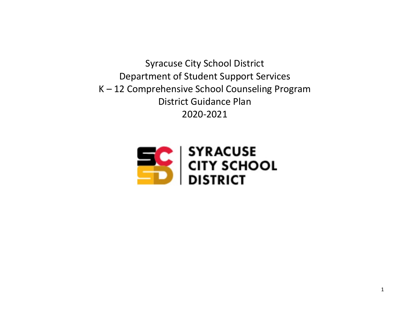Syracuse City School District Department of Student Support Services K – 12 Comprehensive School Counseling Program District Guidance Plan 2020-2021

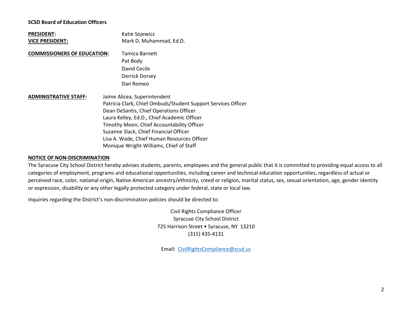#### **SCSD Board of Education Officers**

| <b>PRESIDENT:</b><br><b>VICE PRESIDENT:</b> | Katie Sojewicz<br>Mark D. Muhammad, Ed.D.                                                                                                                                                                                                                                                                                                                                 |
|---------------------------------------------|---------------------------------------------------------------------------------------------------------------------------------------------------------------------------------------------------------------------------------------------------------------------------------------------------------------------------------------------------------------------------|
| <b>COMMISSIONERS OF EDUCATION:</b>          | Tamica Barnett<br>Pat Body<br>David Cecile<br>Derrick Dorsey<br>Dan Romeo                                                                                                                                                                                                                                                                                                 |
| <b>ADMINISTRATIVE STAFF:</b>                | Jaime Alicea, Superintendent<br>Patricia Clark, Chief Ombuds/Student Support Services Officer<br>Dean DeSantis, Chief Operations Officer<br>Laura Kelley, Ed.D., Chief Academic Officer<br>Timothy Moon, Chief Accountability Officer<br>Suzanne Slack, Chief Financial Officer<br>Lisa A. Wade, Chief Human Resources Officer<br>Monique Wright-Williams, Chief of Staff |

#### **NOTICE OF NON-DISCRIMINATION**

The Syracuse City School District hereby advises students, parents, employees and the general public that it is committed to providing equal access to all categories of employment, programs and educational opportunities, including career and technical education opportunities, regardless of actual or perceived race, color, national origin, Native American ancestry/ethnicity, creed or religion, marital status, sex, sexual orientation, age, gender identity or expression, disability or any other legally protected category under federal, state or local law.

Inquiries regarding the District's non-discrimination policies should be directed to:

Civil Rights Compliance Officer Syracuse City School District 725 Harrison Street • Syracuse, NY 13210 (315) 435-4131

Email: [CivilRightsCompliance@scsd.us](mailto:CivilRightsCompliance@scsd.us)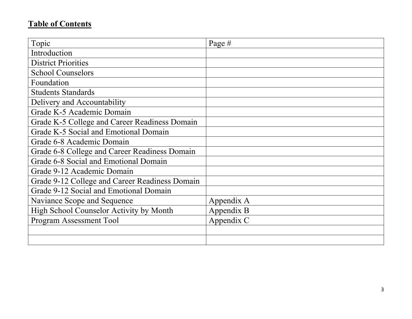# **Table of Contents**

| Topic                                          | Page $#$   |
|------------------------------------------------|------------|
| Introduction                                   |            |
| <b>District Priorities</b>                     |            |
| <b>School Counselors</b>                       |            |
| Foundation                                     |            |
| <b>Students Standards</b>                      |            |
| Delivery and Accountability                    |            |
| Grade K-5 Academic Domain                      |            |
| Grade K-5 College and Career Readiness Domain  |            |
| Grade K-5 Social and Emotional Domain          |            |
| Grade 6-8 Academic Domain                      |            |
| Grade 6-8 College and Career Readiness Domain  |            |
| Grade 6-8 Social and Emotional Domain          |            |
| Grade 9-12 Academic Domain                     |            |
| Grade 9-12 College and Career Readiness Domain |            |
| Grade 9-12 Social and Emotional Domain         |            |
| Naviance Scope and Sequence                    | Appendix A |
| High School Counselor Activity by Month        | Appendix B |
| Program Assessment Tool                        | Appendix C |
|                                                |            |
|                                                |            |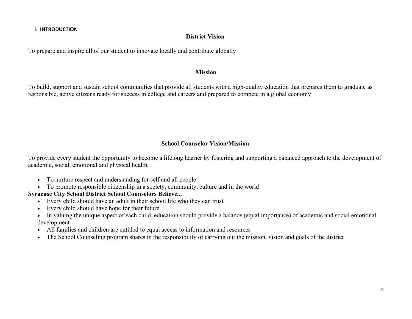#### I. **INTRODUCTION**

#### **District Vision**

To prepare and inspire all of our student to innovate locally and contribute globally

#### **Mission**

To build, support and sustain school communities that provide all students with a high-quality education that prepares them to graduate as responsible, active citizens ready for success in college and careers and prepared to compete in a global economy

# **School Counselor Vision/Mission**

To provide every student the opportunity to become a lifelong learner by fostering and supporting a balanced approach to the development of academic, social, emotional and physical health.

- To nurture respect and understanding for self and all people
- To promote responsible citizenship in a society, community, culture and in the world

# **Syracuse City School District School Counselors Believe...**

- Every child should have an adult in their school life who they can trust
- Every child should have hope for their future
- In valuing the unique aspect of each child, education should provide a balance (equal importance) of academic and social emotional development
- All families and children are entitled to equal access to information and resources
- The School Counseling program shares in the responsibility of carrying out the mission, vision and goals of the district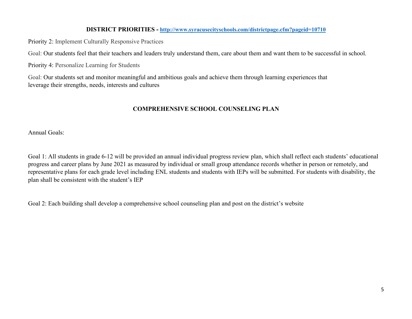#### **DISTRICT PRIORITIES - <http://www.syracusecityschools.com/districtpage.cfm?pageid=10710>**

Priority 2: Implement Culturally Responsive Practices

Goal: Our students feel that their teachers and leaders truly understand them, care about them and want them to be successful in school.

Priority 4: Personalize Learning for Students

Goal: Our students set and monitor meaningful and ambitious goals and achieve them through learning experiences that leverage their strengths, needs, interests and cultures

# **COMPREHENSIVE SCHOOL COUNSELING PLAN**

Annual Goals:

Goal 1: All students in grade 6-12 will be provided an annual individual progress review plan, which shall reflect each students' educational progress and career plans by June 2021 as measured by individual or small group attendance records whether in person or remotely, and representative plans for each grade level including ENL students and students with IEPs will be submitted. For students with disability, the plan shall be consistent with the student's IEP

Goal 2: Each building shall develop a comprehensive school counseling plan and post on the district's website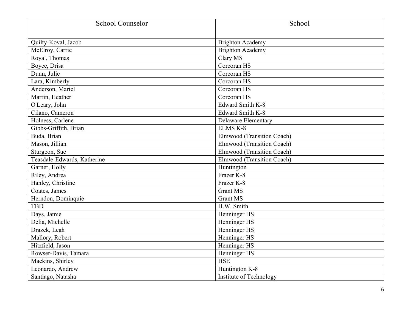| <b>School Counselor</b>     | School                            |
|-----------------------------|-----------------------------------|
|                             |                                   |
| Quilty-Koval, Jacob         | <b>Brighton Academy</b>           |
| McElroy, Carrie             | <b>Brighton Academy</b>           |
| Royal, Thomas               | Clary MS                          |
| Boyce, Drisa                | Corcoran HS                       |
| Dunn, Julie                 | Corcoran HS                       |
| Lara, Kimberly              | Corcoran HS                       |
| Anderson, Mariel            | Corcoran HS                       |
| Marrin, Heather             | Corcoran HS                       |
| O'Leary, John               | Edward Smith K-8                  |
| Cilano, Cameron             | Edward Smith K-8                  |
| Holness, Carlene            | <b>Delaware Elementary</b>        |
| Gibbs-Griffith, Brian       | <b>ELMS K-8</b>                   |
| Buda, Brian                 | Elmwood (Transition Coach)        |
| Mason, Jillian              | Elmwood (Transition Coach)        |
| Sturgeon, Sue               | <b>Elmwood (Transition Coach)</b> |
| Teasdale-Edwards, Katherine | Elmwood (Transition Coach)        |
| Garner, Holly               | Huntington                        |
| Riley, Andrea               | Frazer K-8                        |
| Hanley, Christine           | Frazer K-8                        |
| Coates, James               | <b>Grant MS</b>                   |
| Herndon, Dominquie          | <b>Grant MS</b>                   |
| <b>TBD</b>                  | H.W. Smith                        |
| Days, Jamie                 | Henninger HS                      |
| Delia, Michelle             | Henninger HS                      |
| Drazek, Leah                | Henninger HS                      |
| Mallory, Robert             | Henninger HS                      |
| Hitzfield, Jason            | Henninger HS                      |
| Rowser-Davis, Tamara        | Henninger HS                      |
| Mackins, Shirley            | <b>HSE</b>                        |
| Leonardo, Andrew            | Huntington K-8                    |
| Santiago, Natasha           | Institute of Technology           |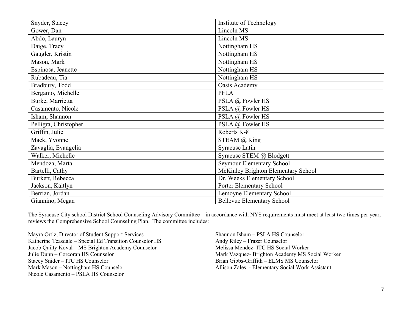| Snyder, Stacey        | Institute of Technology             |
|-----------------------|-------------------------------------|
| Gower, Dan            | Lincoln MS                          |
| Abdo, Lauryn          | Lincoln MS                          |
| Daige, Tracy          | Nottingham HS                       |
| Gaugler, Kristin      | Nottingham HS                       |
| Mason, Mark           | Nottingham HS                       |
| Espinosa, Jeanette    | Nottingham HS                       |
| Rubadeau, Tia         | Nottingham HS                       |
| Bradbury, Todd        | Oasis Academy                       |
| Bergamo, Michelle     | <b>PFLA</b>                         |
| Burke, Marrietta      | PSLA @ Fowler HS                    |
| Casamento, Nicole     | PSLA @ Fowler HS                    |
| Isham, Shannon        | PSLA @ Fowler HS                    |
| Pelligra, Christopher | PSLA @ Fowler HS                    |
| Griffin, Julie        | Roberts K-8                         |
| Mack, Yvonne          | STEAM $(a)$ King                    |
| Zavaglia, Evangelia   | <b>Syracuse Latin</b>               |
| Walker, Michelle      | Syracuse STEM @ Blodgett            |
| Mendoza, Marta        | Seymour Elementary School           |
| Bartelli, Cathy       | McKinley Brighton Elementary School |
| Burkett, Rebecca      | Dr. Weeks Elementary School         |
| Jackson, Kaitlyn      | Porter Elementary School            |
| Berrian, Jordan       | Lemoyne Elementary School           |
| Giannino, Megan       | <b>Bellevue Elementary School</b>   |

The Syracuse City school District School Counseling Advisory Committee – in accordance with NYS requirements must meet at least two times per year, reviews the Comprehensive School Counseling Plan. The committee includes:

Mayra Ortiz, Director of Student Support Services Katherine Teasdale – Special Ed Transition Counselor HS Jacob Quilty Koval – MS Brighton Academy Counselor Julie Dunn – Corcoran HS Counselor Stacey Snider – ITC HS Counselor Mark Mason – Nottingham HS Counselor Nicole Casamento – PSLA HS Counselor

Shannon Isham – PSLA HS Counselor Andy Riley – Frazer Counselor Melissa Mendez- ITC HS Social Worker Mark Vazquez- Brighton Academy MS Social Worker Brian Gibbs-Griffith – ELMS MS Counselor Allison Zales, - Elementary Social Work Assistant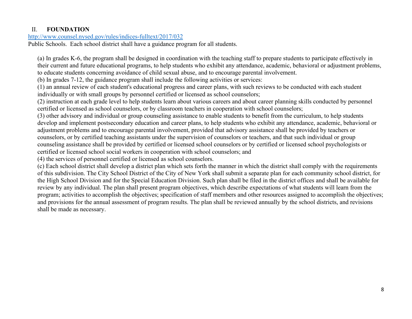# II. **FOUNDATION**

# <http://www.counsel.nysed.gov/rules/indices-fulltext/2017/032>

Public Schools. Each school district shall have a guidance program for all students.

(a) In grades K-6, the program shall be designed in coordination with the teaching staff to prepare students to participate effectively in their current and future educational programs, to help students who exhibit any attendance, academic, behavioral or adjustment problems, to educate students concerning avoidance of child sexual abuse, and to encourage parental involvement.

(b) In grades 7-12, the guidance program shall include the following activities or services:

(1) an annual review of each student's educational progress and career plans, with such reviews to be conducted with each student individually or with small groups by personnel certified or licensed as school counselors;

(2) instruction at each grade level to help students learn about various careers and about career planning skills conducted by personnel certified or licensed as school counselors, or by classroom teachers in cooperation with school counselors;

(3) other advisory and individual or group counseling assistance to enable students to benefit from the curriculum, to help students develop and implement postsecondary education and career plans, to help students who exhibit any attendance, academic, behavioral or adjustment problems and to encourage parental involvement, provided that advisory assistance shall be provided by teachers or counselors, or by certified teaching assistants under the supervision of counselors or teachers, and that such individual or group counseling assistance shall be provided by certified or licensed school counselors or by certified or licensed school psychologists or certified or licensed school social workers in cooperation with school counselors; and

(4) the services of personnel certified or licensed as school counselors.

(c) Each school district shall develop a district plan which sets forth the manner in which the district shall comply with the requirements of this subdivision. The City School District of the City of New York shall submit a separate plan for each community school district, for the High School Division and for the Special Education Division. Such plan shall be filed in the district offices and shall be available for review by any individual. The plan shall present program objectives, which describe expectations of what students will learn from the program; activities to accomplish the objectives; specification of staff members and other resources assigned to accomplish the objectives; and provisions for the annual assessment of program results. The plan shall be reviewed annually by the school districts, and revisions shall be made as necessary.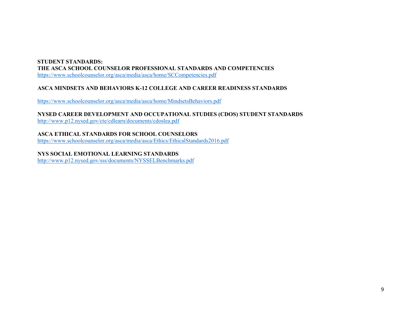# **STUDENT STANDARDS: THE ASCA SCHOOL COUNSELOR PROFESSIONAL STANDARDS AND COMPETENCIES**

<https://www.schoolcounselor.org/asca/media/asca/home/SCCompetencies.pdf>

# **ASCA MINDSETS AND BEHAVIORS K-12 COLLEGE AND CAREER READINESS STANDARDS**

<https://www.schoolcounselor.org/asca/media/asca/home/MindsetsBehaviors.pdf>

**NYSED CAREER DEVELOPMENT AND OCCUPATIONAL STUDIES (CDOS) STUDENT STANDARDS**

<http://www.p12.nysed.gov/cte/cdlearn/documents/cdoslea.pdf>

**ASCA ETHICAL STANDARDS FOR SCHOOL COUNSELORS** <https://www.schoolcounselor.org/asca/media/asca/Ethics/EthicalStandards2016.pdf>

**NYS SOCIAL EMOTIONAL LEARNING STANDARDS**

<http://www.p12.nysed.gov/sss/documents/NYSSELBenchmarks.pdf>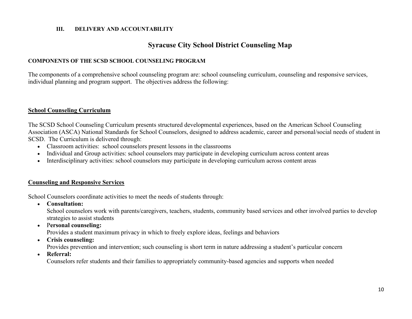#### **III. DELIVERY AND ACCOUNTABILITY**

# **Syracuse City School District Counseling Map**

#### **COMPONENTS OF THE SCSD SCHOOL COUNSELING PROGRAM**

The components of a comprehensive school counseling program are: school counseling curriculum, counseling and responsive services, individual planning and program support. The objectives address the following:

#### **School Counseling Curriculum**

The SCSD School Counseling Curriculum presents structured developmental experiences, based on the American School Counseling Association (ASCA) National Standards for School Counselors, designed to address academic, career and personal/social needs of student in SCSD. The Curriculum is delivered through:

- Classroom activities: school counselors present lessons in the classrooms
- Individual and Group activities: school counselors may participate in developing curriculum across content areas
- Interdisciplinary activities: school counselors may participate in developing curriculum across content areas

#### **Counseling and Responsive Services**

School Counselors coordinate activities to meet the needs of students through:

• **Consultation:**

School counselors work with parents/caregivers, teachers, students, community based services and other involved parties to develop strategies to assist students

• P**ersonal counseling:**

Provides a student maximum privacy in which to freely explore ideas, feelings and behaviors

• **Crisis counseling:**

Provides prevention and intervention; such counseling is short term in nature addressing a student's particular concern

• **Referral:**

Counselors refer students and their families to appropriately community-based agencies and supports when needed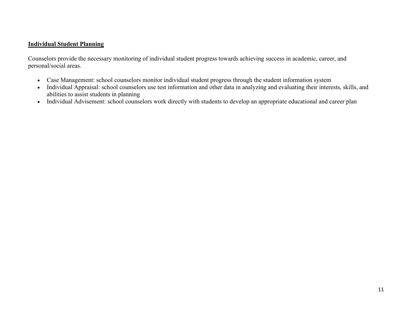# **Individual Student Planning**

Counselors provide the necessary monitoring of individual student progress towards achieving success in academic, career, and personal/social areas.

- Case Management: school counselors monitor individual student progress through the student information system
- Individual Appraisal: school counselors use test information and other data in analyzing and evaluating their interests, skills, and abilities to assist students in planning
- Individual Advisement: school counselors work directly with students to develop an appropriate educational and career plan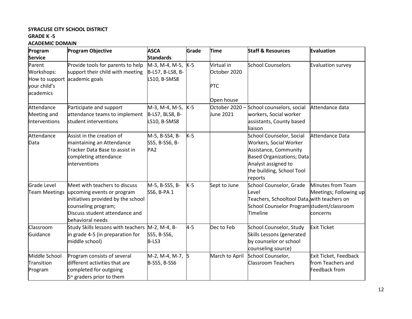#### **SYRACUSE CITY SCHOOL DISTRICT GRADE K -5**

#### **ACADEMIC DOMAIN**

| Program                       | <b>Program Objective</b>              | <b>ASCA</b>         | Grade   | <b>Time</b>    | <b>Staff &amp; Resources</b>                | Evaluation             |
|-------------------------------|---------------------------------------|---------------------|---------|----------------|---------------------------------------------|------------------------|
| <b>Service</b>                |                                       | <b>Standards</b>    |         |                |                                             |                        |
| Parent                        | Provide tools for parents to help     | M-3, M-4, M-5, K-5  |         | Virtual in     | <b>School Counselors</b>                    | Evaluation survey      |
| Workshops:                    | support their child with meeting      | B-L57, B-LS8, B-    |         | October 2020   |                                             |                        |
| How to support academic goals |                                       | LS10, B-SMS8        |         |                |                                             |                        |
| your child's                  |                                       |                     |         | <b>PTC</b>     |                                             |                        |
| academics                     |                                       |                     |         |                |                                             |                        |
|                               |                                       |                     |         | Open house     |                                             |                        |
| Attendance                    | Participate and support               | M-3, M-4, M-5, K-5  |         | October 2020 - | School counselors, social                   | Attendance data        |
| Meeting and                   | attendance teams to implement         | B-LS7, BLS8, B-     |         | June 2021      | workers, Social worker                      |                        |
| Interventions                 | student interventions                 | LS10, B-SMS8        |         |                | assistants, County based                    |                        |
|                               |                                       |                     |         |                | liaison                                     |                        |
| Attendance                    | Assist in the creation of             | M-5, B-SS4, B-      | $K-5$   |                | <b>School Counselor, Social</b>             | Attendance Data        |
| Data                          | maintaining an Attendance             | SS5, B-SS6, B-      |         |                | Workers, Social Worker                      |                        |
|                               | Tracker Data Base to assist in        | PA <sub>2</sub>     |         |                | Assistance, Community                       |                        |
|                               | completing attendance                 |                     |         |                | <b>Based Organizations; Data</b>            |                        |
|                               | interventions                         |                     |         |                | Analyst assigned to                         |                        |
|                               |                                       |                     |         |                | the building, School Tool                   |                        |
|                               |                                       |                     |         |                | reports                                     |                        |
| Grade Level                   | Meet with teachers to discuss         | M-5, B-SS5, B-      | $K-5$   | Sept to June   | School Counselor, Grade                     | Minutes from Team      |
| <b>Team Meetings</b>          | upcoming events or program            | SS6, B-PA 1         |         |                | Level                                       | Meetings; Following up |
|                               | initiatives provided by the school    |                     |         |                | Teachers, Schooltool Data, with teachers on |                        |
|                               | counseling program;                   |                     |         |                | School Counselor Programstudent/classroom   |                        |
|                               | Discuss student attendance and        |                     |         |                | Timeline                                    | concerns               |
|                               | behavioral needs                      |                     |         |                |                                             |                        |
| Classroom                     | Study Skills lessons with teachers    | M-2, M-4, B-        | $4 - 5$ | Dec to Feb     | School Counselor, Study                     | <b>Exit Ticket</b>     |
| Guidance                      | in grade 4-5 (in preparation for      | SS5, B-SS6,         |         |                | Skills Lessons (generated                   |                        |
|                               | middle school)                        | B-LS3               |         |                | by counselor or school                      |                        |
|                               |                                       |                     |         |                | counseling source)                          |                        |
| Middle School                 | Program consists of several           | M-2, M-4, M-7, 5    |         | March to April | School Counselor,                           | Exit Ticket, Feedback  |
| Transition                    | different activities that are         | <b>B-SS5, B-SS6</b> |         |                | <b>Classroom Teachers</b>                   | from Teachers and      |
| Program                       | completed for outgoing                |                     |         |                |                                             | Feedback from          |
|                               | 5 <sup>th</sup> graders prior to them |                     |         |                |                                             |                        |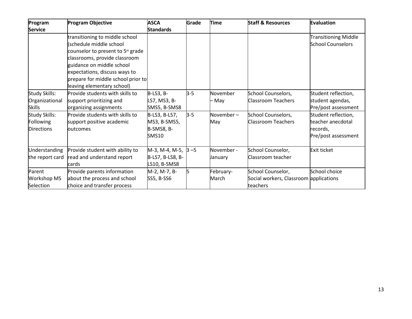| Program              | <b>Program Objective</b>                      | <b>ASCA</b>                 | Grade   | <b>Time</b>    | <b>Staff &amp; Resources</b>           | <b>Evaluation</b>           |
|----------------------|-----------------------------------------------|-----------------------------|---------|----------------|----------------------------------------|-----------------------------|
| <b>Service</b>       |                                               | <b>Standards</b>            |         |                |                                        |                             |
|                      | transitioning to middle school                |                             |         |                |                                        | <b>Transitioning Middle</b> |
|                      | (schedule middle school                       |                             |         |                |                                        | <b>School Counselors</b>    |
|                      | counselor to present to 5 <sup>th</sup> grade |                             |         |                |                                        |                             |
|                      | classrooms, provide classroom                 |                             |         |                |                                        |                             |
|                      | guidance on middle school                     |                             |         |                |                                        |                             |
|                      | expectations, discuss ways to                 |                             |         |                |                                        |                             |
|                      | prepare for middle school prior to            |                             |         |                |                                        |                             |
|                      | leaving elementary school)                    |                             |         |                |                                        |                             |
| <b>Study Skills:</b> | Provide students with skills to               | <b>B-LS3, B-</b>            | $3 - 5$ | November       | School Counselors,                     | Student reflection,         |
| Organizational       | support prioritizing and                      | LS7, MS3, B-                |         | – May          | <b>Classroom Teachers</b>              | student agendas,            |
| <b>Skills</b>        | organizing assignments                        | SMS5, B-SMS8                |         |                |                                        | Pre/post assessment         |
| <b>Study Skills:</b> | Provide students with skills to               | B-LS3, B-LS7,               | $3 - 5$ | November-      | School Counselors,                     | Student reflection,         |
| Following            | support positive academic                     | MS3, B-SMS5,                |         | May            | <b>Classroom Teachers</b>              | teacher anecdotal           |
| <b>Directions</b>    | <b>loutcomes</b>                              | B-SMS8, B-                  |         |                |                                        | records,                    |
|                      |                                               | <b>SMS10</b>                |         |                |                                        | Pre/post assessment         |
| Understanding        | Provide student with ability to               | $M-3$ , M-4, M-5, $ 3 - 5 $ |         | November -     | School Counselor,                      | <b>Exit ticket</b>          |
| the report card      | read and understand report                    | B-LS7, B-LS8, B-            |         | <b>January</b> | Classroom teacher                      |                             |
|                      | cards                                         | LS10, B-SMS8                |         |                |                                        |                             |
| Parent               | Provide parents information                   | M-2, M-7, B-                | 5       | February-      | School Counselor,                      | School choice               |
| <b>Workshop MS</b>   | about the process and school                  | <b>SS5, B-SS6</b>           |         | March          | Social workers, Classroom applications |                             |
| Selection            | choice and transfer process                   |                             |         |                | teachers                               |                             |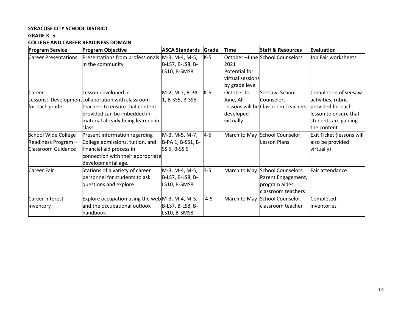# **SYRACUSE CITY SCHOOL DISTRICT**

# **GRADE K -5**

# **COLLEGE AND CAREER READINESS DOMAIN**

| <b>Program Service</b>      | <b>Program Objective</b>                           | <b>ASCA Standards</b> | Grade   | <b>Time</b>      | <b>Staff &amp; Resources</b>       | Evaluation                |
|-----------------------------|----------------------------------------------------|-----------------------|---------|------------------|------------------------------------|---------------------------|
| <b>Career Presentations</b> | Presentations from professionals M-3, M-4, M-5,    |                       | $K-5$   |                  | October-June School Counselors     | Job Fair worksheets       |
|                             | in the community                                   | B-LS7, B-LS8, B-      |         | 2021             |                                    |                           |
|                             |                                                    | LS10, B-SMS8          |         | Potential for    |                                    |                           |
|                             |                                                    |                       |         | virtual sessions |                                    |                           |
|                             |                                                    |                       |         | by grade level   |                                    |                           |
| Career                      | Lesson developed in                                | M-2, M-7, B-PA        | $K-5$   | October to       | Seesaw, School                     | Completion of seesaw      |
|                             | Lessons: Development collaboration with classroom  | 1, B-SS5, B-SS6       |         | June, All        | Counselor,                         | activities, rubric        |
| for each grade              | teachers to ensure that content                    |                       |         |                  | Lessons will be Classroom Teachers | provided for each         |
|                             | provided can be imbedded in                        |                       |         | developed        |                                    | lesson to ensure that     |
|                             | material already being learned in                  |                       |         | virtually        |                                    | students are gaining      |
|                             | class.                                             |                       |         |                  |                                    | the content               |
| School Wide College         | Present information regarding                      | M-3, M-5, M-7,        | $4 - 5$ |                  | March to May School Counselor,     | Exit Ticket (lessons will |
| Readiness Program -         | College admissions, tuition, and                   | B-PA 1, B-SS1, B-     |         |                  | Lesson Plans                       | also be provided          |
| Classroom Guidance          | financial aid process in                           | SS 5, B-SS 6          |         |                  |                                    | virtually)                |
|                             | connection with their appropriate                  |                       |         |                  |                                    |                           |
|                             | developmental age.                                 |                       |         |                  |                                    |                           |
| <b>Career Fair</b>          | Stations of a variety of career                    | M-3, M-4, M-5,        | $3 - 5$ |                  | March to May School Counselors,    | Fair attendance           |
|                             | personnel for students to ask                      | B-LS7, B-LS8, B-      |         |                  | Parent Engagement,                 |                           |
|                             | questions and explore                              | LS10, B-SMS8          |         |                  | program aides,                     |                           |
|                             |                                                    |                       |         |                  | classroom teachers                 |                           |
| Career Interest             | Explore occupation using the web $M-3$ , M-4, M-5, |                       | $4 - 5$ |                  | March to May School Counselor,     | Completed                 |
| Inventory                   | and the occupational outlook                       | B-LS7, B-LS8, B-      |         |                  | classroom teacher                  | inventories               |
|                             | handbook                                           | LS10, B-SMS8          |         |                  |                                    |                           |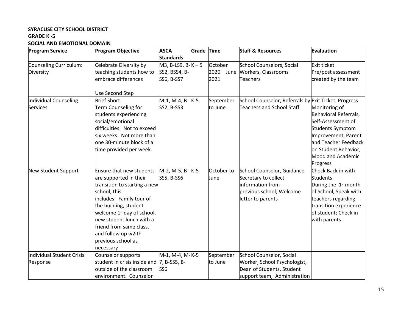# **SYRACUSE CITY SCHOOL DISTRICT GRADE K -5**

**SOCIAL AND EMOTIONAL DOMAIN**

| <b>Program Service</b>    | <b>Program Objective</b>                   | <b>ASCA</b>        | <b>Grade Time</b> |             | <b>Staff &amp; Resources</b>                         | Evaluation                       |
|---------------------------|--------------------------------------------|--------------------|-------------------|-------------|------------------------------------------------------|----------------------------------|
|                           |                                            | <b>Standards</b>   |                   |             |                                                      |                                  |
| Counseling Curriculum:    | Celebrate Diversity by                     | $MS, B-LS9, B-K-5$ |                   | October     | <b>School Counselors, Social</b>                     | Exit ticket                      |
| Diversity                 | teaching students how to                   | SS2, BSS4, B-      |                   | 2020 - June | Workers, Classrooms                                  | Pre/post assessment              |
|                           | embrace differences                        | <b>SS6, B-SS7</b>  |                   | 2021        | <b>Teachers</b>                                      | created by the team              |
|                           | <b>Use Second Step</b>                     |                    |                   |             |                                                      |                                  |
| Individual Counseling     | <b>Brief Short-</b>                        | M-1, M-4, B- K-5   |                   | September   | School Counselor, Referrals by Exit Ticket, Progress |                                  |
| <b>Services</b>           | Term Counseling for                        | <b>SS2, B-SS3</b>  |                   | to June     | <b>Teachers and School Staff</b>                     | Monitoring of                    |
|                           | students experiencing                      |                    |                   |             |                                                      | Behavioral Referrals,            |
|                           | social/emotional                           |                    |                   |             |                                                      | Self-Assessment of               |
|                           | difficulties. Not to exceed                |                    |                   |             |                                                      | Students Symptom                 |
|                           | six weeks. Not more than                   |                    |                   |             |                                                      | Improvement, Parent              |
|                           | one 30-minute block of a                   |                    |                   |             |                                                      | and Teacher Feedback             |
|                           | time provided per week.                    |                    |                   |             |                                                      | on Student Behavior,             |
|                           |                                            |                    |                   |             |                                                      | <b>Mood and Academic</b>         |
|                           |                                            |                    |                   |             |                                                      | Progress                         |
| New Student Support       | <b>Ensure that new students</b>            | M-2, M-5, B- K-5   |                   | October to  | School Counselor, Guidance                           | Check Back in with               |
|                           | are supported in their                     | <b>SS5, B-SS6</b>  |                   | June        | Secretary to collect                                 | <b>Students</b>                  |
|                           | transition to starting a new               |                    |                   |             | information from                                     | During the 1 <sup>st</sup> month |
|                           | school, this                               |                    |                   |             | previous school; Welcome                             | of School, Speak with            |
|                           | includes: Family tour of                   |                    |                   |             | letter to parents                                    | teachers regarding               |
|                           | the building, student                      |                    |                   |             |                                                      | transition experience            |
|                           | welcome 1 <sup>st</sup> day of school,     |                    |                   |             |                                                      | of student; Check in             |
|                           | new student lunch with a                   |                    |                   |             |                                                      | with parents                     |
|                           | friend from same class,                    |                    |                   |             |                                                      |                                  |
|                           | and follow up w2ith                        |                    |                   |             |                                                      |                                  |
|                           | previous school as                         |                    |                   |             |                                                      |                                  |
|                           | necessary                                  |                    |                   |             |                                                      |                                  |
| Individual Student Crisis | Counselor supports                         | M-1, M-4, M-K-5    |                   | September   | School Counselor, Social                             |                                  |
| Response                  | student in crisis inside and  7, B-SS5, B- |                    |                   | to June     | Worker, School Psychologist,                         |                                  |
|                           | outside of the classroom                   | SS <sub>6</sub>    |                   |             | Dean of Students, Student                            |                                  |
|                           | environment. Counselor                     |                    |                   |             | support team, Administration                         |                                  |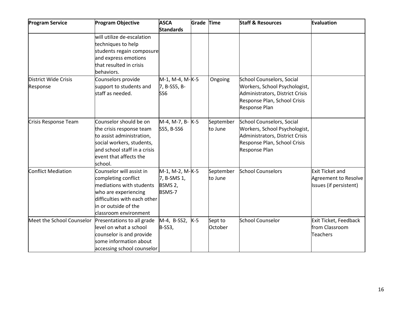| <b>Program Service</b>    | <b>Program Objective</b>     | <b>ASCA</b>         | Grade Time |           | <b>Staff &amp; Resources</b>    | <b>Evaluation</b>           |
|---------------------------|------------------------------|---------------------|------------|-----------|---------------------------------|-----------------------------|
|                           |                              | <b>Standards</b>    |            |           |                                 |                             |
|                           | will utilize de-escalation   |                     |            |           |                                 |                             |
|                           | techniques to help           |                     |            |           |                                 |                             |
|                           | students regain composure    |                     |            |           |                                 |                             |
|                           | and express emotions         |                     |            |           |                                 |                             |
|                           | that resulted in crisis      |                     |            |           |                                 |                             |
|                           | behaviors.                   |                     |            |           |                                 |                             |
| District Wide Crisis      | Counselors provide           | M-1, M-4, M-K-5     |            | Ongoing   | School Counselors, Social       |                             |
| Response                  | support to students and      | 7, B-SS5, B-        |            |           | Workers, School Psychologist,   |                             |
|                           | staff as needed.             | SS <sub>6</sub>     |            |           | Administrators, District Crisis |                             |
|                           |                              |                     |            |           | Response Plan, School Crisis    |                             |
|                           |                              |                     |            |           | Response Plan                   |                             |
| Crisis Response Team      | Counselor should be on       | M-4, M-7, B- K-5    |            | September | School Counselors, Social       |                             |
|                           | the crisis response team     | SS5, B-SS6          |            | to June   | Workers, School Psychologist,   |                             |
|                           | to assist administration,    |                     |            |           | Administrators, District Crisis |                             |
|                           | social workers, students,    |                     |            |           | Response Plan, School Crisis    |                             |
|                           | and school staff in a crisis |                     |            |           | Response Plan                   |                             |
|                           | event that affects the       |                     |            |           |                                 |                             |
|                           | school.                      |                     |            |           |                                 |                             |
| Conflict Mediation        | Counselor will assist in     | M-1, M-2, M-K-5     |            | September | <b>School Counselors</b>        | <b>Exit Ticket and</b>      |
|                           | completing conflict          | 7, B-SMS 1,         |            | to June   |                                 | <b>Agreement to Resolve</b> |
|                           | mediations with students     | BSMS <sub>2</sub> , |            |           |                                 | Issues (if persistent)      |
|                           | who are experiencing         | BSMS-7              |            |           |                                 |                             |
|                           | difficulties with each other |                     |            |           |                                 |                             |
|                           | in or outside of the         |                     |            |           |                                 |                             |
|                           | classroom environment        |                     |            |           |                                 |                             |
| Meet the School Counselor | Presentations to all grade   | $M-4$ , B-SS2,      | $K-5$      | Sept to   | School Counselor                | Exit Ticket, Feedback       |
|                           | llevel on what a school      | B-SS3,              |            | October   |                                 | from Classroom              |
|                           | counselor is and provide     |                     |            |           |                                 | <b>Teachers</b>             |
|                           | some information about       |                     |            |           |                                 |                             |
|                           | accessing school counselor   |                     |            |           |                                 |                             |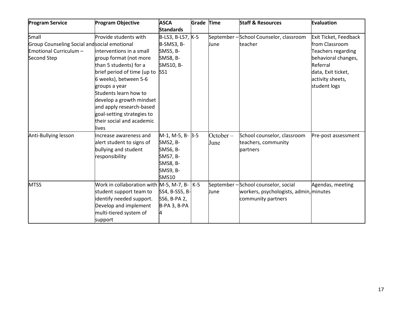| <b>Program Service</b>                       | <b>Program Objective</b>                         | <b>ASCA</b>       | <b>Grade Time</b> |             | <b>Staff &amp; Resources</b>           | Evaluation            |
|----------------------------------------------|--------------------------------------------------|-------------------|-------------------|-------------|----------------------------------------|-----------------------|
|                                              |                                                  | <b>Standards</b>  |                   |             |                                        |                       |
| Small                                        | Provide students with                            | B-LS3, B-LS7, K-5 |                   |             | September-School Counselor, classroom  | Exit Ticket, Feedback |
| Group Counseling Social and social emotional |                                                  | B-SMS3, B-        |                   | June        | teacher                                | from Classroom        |
| Emotional Curriculum -                       | linterventions in a small                        | <b>SMS5, B-</b>   |                   |             |                                        | Teachers regarding    |
| Second Step                                  | group format (not more                           | <b>SMS8, B-</b>   |                   |             |                                        | behavioral changes,   |
|                                              | than 5 students) for a                           | SMS10, B-         |                   |             |                                        | Referral              |
|                                              | brief period of time (up to SS1                  |                   |                   |             |                                        | data, Exit ticket,    |
|                                              | 6 weeks), between 5-6                            |                   |                   |             |                                        | activity sheets,      |
|                                              | groups a year                                    |                   |                   |             |                                        | student logs          |
|                                              | Students learn how to                            |                   |                   |             |                                        |                       |
|                                              | develop a growth mindset                         |                   |                   |             |                                        |                       |
|                                              | and apply research-based                         |                   |                   |             |                                        |                       |
|                                              | goal-setting strategies to                       |                   |                   |             |                                        |                       |
|                                              | their social and academic                        |                   |                   |             |                                        |                       |
|                                              | lives                                            |                   |                   |             |                                        |                       |
| Anti-Bullying lesson                         | Increase awareness and                           | M-1, M-5, B- 3-5  |                   | $October -$ | School counselor, classroom            | Pre-post assessment   |
|                                              | alert student to signs of                        | <b>SMS2, B-</b>   |                   | June        | teachers, community                    |                       |
|                                              | bullying and student                             | SMS6, B-          |                   |             | partners                               |                       |
|                                              | responsibility                                   | SMS7, B-          |                   |             |                                        |                       |
|                                              |                                                  | <b>SMS8, B-</b>   |                   |             |                                        |                       |
|                                              |                                                  | <b>SMS9, B-</b>   |                   |             |                                        |                       |
|                                              |                                                  | <b>SMS10</b>      |                   |             |                                        |                       |
| <b>MTSS</b>                                  | Work in collaboration with $M-5$ , M-7, B- $K-5$ |                   |                   |             | September-School counselor, social     | Agendas, meeting      |
|                                              | student support team to                          | SS4, B-SS5, B-    |                   | June        | workers, psychologists, admin, minutes |                       |
|                                              | identify needed support.                         | SS6, B-PA 2,      |                   |             | community partners                     |                       |
|                                              | Develop and implement                            | B-PA 3, B-PA      |                   |             |                                        |                       |
|                                              | multi-tiered system of                           |                   |                   |             |                                        |                       |
|                                              | support                                          |                   |                   |             |                                        |                       |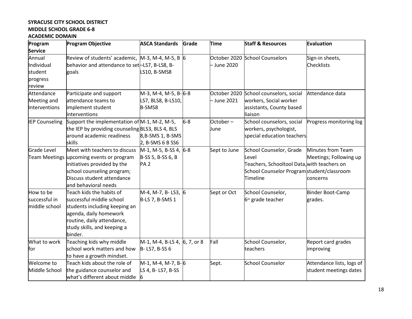# **SYRACUSE CITY SCHOOL DISTRICT MIDDLE SCHOOL GRADE 6-8**

# **ACADEMIC DOMAIN**

| Program               | <b>Program Objective</b>                         | <b>ASCA Standards</b>        | Grade | <b>Time</b>  | <b>Staff &amp; Resources</b>                | Evaluation                |
|-----------------------|--------------------------------------------------|------------------------------|-------|--------------|---------------------------------------------|---------------------------|
| <b>Service</b>        |                                                  |                              |       |              |                                             |                           |
| Annual                | Review of students' academic, M-3, M-4, M-5, B 6 |                              |       |              | October 2020 School Counselors              | Sign-in sheets,           |
| Individual            | behavior and attendance to set-LS7, B-LS8, B-    |                              |       | - June 2020  |                                             | <b>Checklists</b>         |
| student               | goals                                            | LS10, B-SMS8                 |       |              |                                             |                           |
| progress              |                                                  |                              |       |              |                                             |                           |
| review                |                                                  |                              |       |              |                                             |                           |
| Attendance            | Participate and support                          | M-3, M-4, M-5, B-6-8         |       |              | October 2020 School counselors, social      | Attendance data           |
| Meeting and           | attendance teams to                              | LS7, BLS8, B-LS10,           |       | - June 2021  | workers, Social worker                      |                           |
| Interventions         | implement student                                | B-SMS8                       |       |              | assistants, County based                    |                           |
|                       | interventions                                    |                              |       |              | liaison                                     |                           |
| <b>IEP Counseling</b> | Support the implementation of M-1, M-2, M-5,     |                              | $6-8$ | October-     | School counselors, social                   | Progress monitoring log   |
|                       | the IEP by providing counseling BLS3, BLS 4, BLS |                              |       | June         | workers, psychologist,                      |                           |
|                       | around academic readiness                        | 8, B-SMS 1, B-SMS            |       |              | special education teachers                  |                           |
|                       | skills                                           | 2, B-SMS 6 B SS6             |       |              |                                             |                           |
| Grade Level           | Meet with teachers to discuss                    | M-1, M-5, B-SS 4, 6-8        |       | Sept to June | School Counselor, Grade                     | Minutes from Team         |
|                       | Team Meetings upcoming events or program         | B-SS 5, B-SS 6, B            |       |              | Level                                       | Meetings; Following up    |
|                       | initiatives provided by the                      | <b>PA2</b>                   |       |              | Teachers, Schooltool Data, with teachers on |                           |
|                       | school counseling program;                       |                              |       |              | School Counselor Programstudent/classroom   |                           |
|                       | Discuss student attendance                       |                              |       |              | Timeline                                    | concerns                  |
|                       | and behavioral needs                             |                              |       |              |                                             |                           |
| How to be             | Teach kids the habits of                         | M-4, M-7, B-LS3, 6           |       | Sept or Oct  | School Counselor,                           | Binder Boot-Camp          |
| successful in         | successful middle school                         | B-LS 7, B-SMS 1              |       |              | 6 <sup>th</sup> grade teacher               | grades.                   |
| middle school         | students including keeping an                    |                              |       |              |                                             |                           |
|                       | agenda, daily homework                           |                              |       |              |                                             |                           |
|                       | routine, daily attendance,                       |                              |       |              |                                             |                           |
|                       | study skills, and keeping a                      |                              |       |              |                                             |                           |
|                       | binder.                                          |                              |       |              |                                             |                           |
| What to work          | Teaching kids why middle                         | M-1, M-4, B-LS 4, 6, 7, or 8 |       | Fall         | School Counselor,                           | Report card grades        |
| for                   | school work matters and how                      | B-LS7, B-SS 6                |       |              | teachers                                    | improving                 |
|                       | to have a growth mindset.                        |                              |       |              |                                             |                           |
| Welcome to            | Teach kids about the role of                     | M-1, M-4, M-7, B-6           |       | Sept.        | <b>School Counselor</b>                     | Attendance lists, logs of |
| Middle School         | the guidance counselor and                       | LS 4, B-LS7, B-SS            |       |              |                                             | student meetings dates    |
|                       | what's different about middle                    | 16                           |       |              |                                             |                           |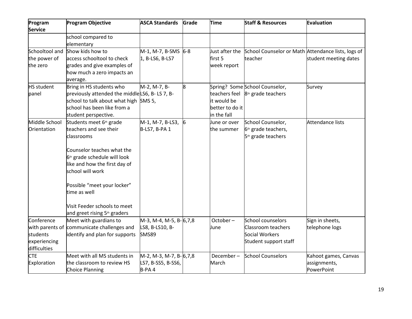| Program<br><b>Service</b>                                                 | <b>Program Objective</b>                                                                                                                                                                                                                                                                                                              | <b>ASCA Standards</b>                                     | Grade | <b>Time</b>                                   | <b>Staff &amp; Resources</b>                                                              | Evaluation                                         |
|---------------------------------------------------------------------------|---------------------------------------------------------------------------------------------------------------------------------------------------------------------------------------------------------------------------------------------------------------------------------------------------------------------------------------|-----------------------------------------------------------|-------|-----------------------------------------------|-------------------------------------------------------------------------------------------|----------------------------------------------------|
|                                                                           | school compared to<br>elementary                                                                                                                                                                                                                                                                                                      |                                                           |       |                                               |                                                                                           |                                                    |
| Schooltool and<br>the power of<br>the zero                                | Show kids how to<br>access schooltool to check<br>grades and give examples of<br>how much a zero impacts an<br>average.                                                                                                                                                                                                               | $M-1$ , M-7, B-SMS 6-8<br>1, B-LS6, B-LS7                 |       | first 5<br>week report                        | Just after the School Counselor or Math Attendance lists, logs of<br>teacher              | student meeting dates                              |
| <b>HS</b> student<br>panel                                                | Bring in HS students who<br>previously attended the middleLS6, B-LS 7, B-<br>school to talk about what high SMS 5,<br>school has been like from a<br>student perspective.                                                                                                                                                             | M-2, M-7, B-                                              | 8     | it would be<br>better to do it<br>in the fall | Spring? Some School Counselor,<br>teachers feel $ 8th$ grade teachers                     | Survey                                             |
| Middle School<br>Orientation                                              | Students meet 6 <sup>th</sup> grade<br>teachers and see their<br>classrooms<br>Counselor teaches what the<br>6 <sup>th</sup> grade schedule will look<br>like and how the first day of<br>school will work<br>Possible "meet your locker"<br>time as well<br>Visit Feeder schools to meet<br>and greet rising 5 <sup>th</sup> graders | M-1, M-7, B-LS3,<br>B-LS7, B-PA 1                         | 6     | June or over<br>the summer                    | School Counselor,<br>6 <sup>th</sup> grade teachers,<br>5 <sup>th</sup> grade teachers    | Attendance lists                                   |
| Conference<br>with parents of<br>students<br>experiencing<br>difficulties | Meet with guardians to<br>communicate challenges and<br>identify and plan for supports                                                                                                                                                                                                                                                | M-3, M-4, M-5, B-6,7,8<br>LS8, B-LS10, B-<br><b>SMS89</b> |       | October-<br>June                              | School counselors<br><b>Classroom teachers</b><br>Social Workers<br>Student support staff | Sign in sheets,<br>telephone logs                  |
| <b>CTE</b><br>Exploration                                                 | Meet with all MS students in<br>the classroom to review HS<br><b>Choice Planning</b>                                                                                                                                                                                                                                                  | M-2, M-3, M-7, B-6,7,8<br>LS7, B-SS5, B-SS6,<br>B-PA4     |       | December-<br>March                            | <b>School Counselors</b>                                                                  | Kahoot games, Canvas<br>assignments,<br>PowerPoint |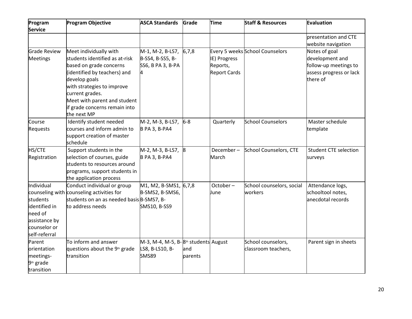| Program<br><b>Service</b>                                                                            | <b>Program Objective</b>                                                                                                                                                                                                                                              | <b>ASCA Standards</b>                                                                           | Grade          | <b>Time</b>                                     | <b>Staff &amp; Resources</b>              | <b>Evaluation</b>                                                                                |
|------------------------------------------------------------------------------------------------------|-----------------------------------------------------------------------------------------------------------------------------------------------------------------------------------------------------------------------------------------------------------------------|-------------------------------------------------------------------------------------------------|----------------|-------------------------------------------------|-------------------------------------------|--------------------------------------------------------------------------------------------------|
|                                                                                                      |                                                                                                                                                                                                                                                                       |                                                                                                 |                |                                                 |                                           | presentation and CTE<br>website navigation                                                       |
| <b>Grade Review</b><br><b>Meetings</b>                                                               | Meet individually with<br>students identified as at-risk<br>based on grade concerns<br>(identified by teachers) and<br>develop goals<br>with strategies to improve<br>current grades.<br>Meet with parent and student<br>if grade concerns remain into<br>the next MP | $M-1$ , M-2, B-LS7, 6,7,8<br>B-SS4, B-SS5, B-<br>SS6, B PA 3, B-PA                              |                | IE) Progress<br>Reports,<br><b>Report Cards</b> | Every 5 weeks School Counselors           | Notes of goal<br>development and<br>follow-up meetings to<br>assess progress or lack<br>there of |
| Course<br>Requests                                                                                   | Identify student needed<br>courses and inform admin to<br>support creation of master<br>schedule                                                                                                                                                                      | M-2, M-3, B-LS7,<br><b>B PA 3, B-PA4</b>                                                        | $6-8$          | Quarterly                                       | <b>School Counselors</b>                  | Master schedule<br>template                                                                      |
| HS/CTE<br>Registration                                                                               | Support students in the<br>selection of courses, guide<br>students to resources around<br>programs, support students in<br>the application process                                                                                                                    | M-2, M-3, B-LS7,<br><b>B PA 3, B-PA4</b>                                                        |                | December-<br>March                              | School Counselors, CTE                    | <b>Student CTE selection</b><br>surveys                                                          |
| Individual<br>students<br>identified in<br>need of<br>assistance by<br>counselor or<br>self-referral | Conduct individual or group<br>counseling with counseling activities for<br>students on an as needed basis B-SMS7, B-<br>to address needs                                                                                                                             | M <sub>1</sub> , M <sub>2</sub> , B-SM <sub>51</sub> , 6,7,8<br>B-SMS2, B-SMS6,<br>SMS10, B-SS9 |                | October-<br>June                                | School counselors, social<br>workers      | Attendance logs,<br>schooltool notes,<br>anecdotal records                                       |
| Parent<br>orientation<br>meetings-<br>9 <sup>th</sup> grade<br>transition                            | To inform and answer<br>questions about the 9 <sup>th</sup> grade<br>transition                                                                                                                                                                                       | M-3, M-4, M-5, B-8 <sup>th</sup> students August<br>LS8, B-LS10, B-<br><b>SMS89</b>             | and<br>parents |                                                 | School counselors,<br>classroom teachers, | Parent sign in sheets                                                                            |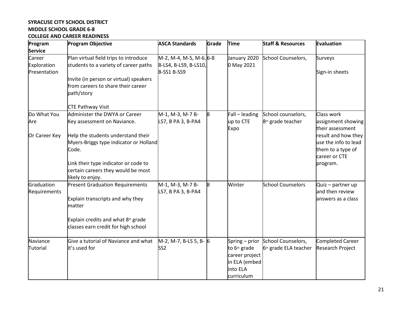#### **SYRACUSE CITY SCHOOL DISTRICT MIDDLE SCHOOL GRADE 6-8 COLLEGE AND CAREER READINESS**

| Program                    | <b>Program Objective</b>                       | <b>ASCA Standards</b>                  | Grade | <b>Time</b>              | <b>Staff &amp; Resources</b>      | Evaluation                             |
|----------------------------|------------------------------------------------|----------------------------------------|-------|--------------------------|-----------------------------------|----------------------------------------|
| <b>Service</b>             |                                                |                                        |       |                          |                                   |                                        |
| Career                     | Plan virtual field trips to introduce          | M-2, M-4, M-5, M-6, 6-8                |       | January 2020             | School Counselors,                | Surveys                                |
| Exploration                | students to a variety of career paths          | B-LS4, B-LS9, B-LS10,                  |       | 0 May 2021               |                                   |                                        |
| Presentation               |                                                | B-SS1 B-SS9                            |       |                          |                                   | Sign-in sheets                         |
|                            | Invite (in person or virtual) speakers         |                                        |       |                          |                                   |                                        |
|                            | from careers to share their career             |                                        |       |                          |                                   |                                        |
|                            | path/story                                     |                                        |       |                          |                                   |                                        |
|                            | <b>CTE Pathway Visit</b>                       |                                        |       |                          |                                   |                                        |
| Do What You                | Administer the DWYA or Career                  | M-1, M-3, M-7 B-                       | 8     | Fall - leading           | School counselors,                | Class work                             |
| Are                        | Key assessment on Naviance.                    | LS7, B PA 3, B-PA4                     |       | up to CTE<br>Expo        | 8 <sup>th</sup> grade teacher     | assignment showing<br>their assessment |
| Or Career Key              | Help the students understand their             |                                        |       |                          |                                   | result and how they                    |
|                            | Myers-Briggs type indicator or Holland         |                                        |       |                          |                                   | use the info to lead                   |
|                            | Code.                                          |                                        |       |                          |                                   | them to a type of                      |
|                            |                                                |                                        |       |                          |                                   | career or CTE                          |
|                            | Link their type indicator or code to           |                                        |       |                          |                                   | program.                               |
|                            | certain careers they would be most             |                                        |       |                          |                                   |                                        |
|                            | likely to enjoy.                               |                                        |       |                          |                                   |                                        |
| Graduation<br>Requirements | <b>Present Graduation Requirements</b>         | M-1, M-3, M-7 B-<br>LS7, B PA 3, B-PA4 | 8     | Winter                   | <b>School Counselors</b>          | Quiz - partner up<br>and then review   |
|                            | Explain transcripts and why they               |                                        |       |                          |                                   | answers as a class                     |
|                            | matter                                         |                                        |       |                          |                                   |                                        |
|                            | Explain credits and what 8 <sup>th</sup> grade |                                        |       |                          |                                   |                                        |
|                            | classes earn credit for high school            |                                        |       |                          |                                   |                                        |
| Naviance                   | Give a tutorial of Naviance and what           | M-2, M-7, B-LS 5, B- 6                 |       |                          | Spring - prior School Counselors, | Completed Career                       |
| Tutorial                   | it's used for                                  | SS <sub>2</sub>                        |       | to 6 <sup>th</sup> grade | 6 <sup>th</sup> grade ELA teacher | <b>Research Project</b>                |
|                            |                                                |                                        |       | career project           |                                   |                                        |
|                            |                                                |                                        |       | in ELA (embed            |                                   |                                        |
|                            |                                                |                                        |       | into ELA                 |                                   |                                        |
|                            |                                                |                                        |       | curriculum               |                                   |                                        |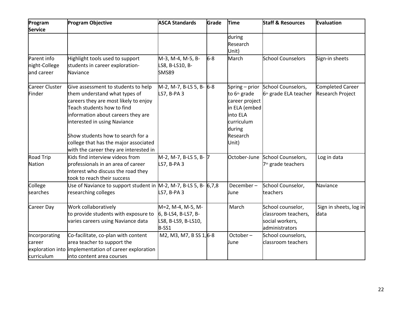| Program          | <b>Program Objective</b>                                              | <b>ASCA Standards</b>    | Grade | <b>Time</b>              | <b>Staff &amp; Resources</b>      | Evaluation              |
|------------------|-----------------------------------------------------------------------|--------------------------|-------|--------------------------|-----------------------------------|-------------------------|
| <b>Service</b>   |                                                                       |                          |       |                          |                                   |                         |
|                  |                                                                       |                          |       | during                   |                                   |                         |
|                  |                                                                       |                          |       | Research                 |                                   |                         |
|                  |                                                                       |                          |       | Unit)                    |                                   |                         |
| Parent info      | Highlight tools used to support                                       | M-3, M-4, M-5, B-        | $6-8$ | March                    | <b>School Counselors</b>          | Sign-in sheets          |
| night-College    | students in career exploration-                                       | LS8, B-LS10, B-          |       |                          |                                   |                         |
| and career       | Naviance                                                              | <b>SMS89</b>             |       |                          |                                   |                         |
| Career Cluster   | Give assessment to students to help                                   | M-2, M-7, B-LS 5, B- 6-8 |       |                          | Spring - prior School Counselors, | Completed Career        |
| Finder           | them understand what types of                                         | LS7, B-PA 3              |       | to 6 <sup>th</sup> grade | 6 <sup>th</sup> grade ELA teacher | <b>Research Project</b> |
|                  | careers they are most likely to enjoy                                 |                          |       | career project           |                                   |                         |
|                  | Teach students how to find                                            |                          |       | in ELA (embed            |                                   |                         |
|                  | information about careers they are                                    |                          |       | into ELA                 |                                   |                         |
|                  | interested in using Naviance                                          |                          |       | curriculum               |                                   |                         |
|                  |                                                                       |                          |       | during                   |                                   |                         |
|                  | Show students how to search for a                                     |                          |       | Research                 |                                   |                         |
|                  | college that has the major associated                                 |                          |       | Unit)                    |                                   |                         |
|                  | with the career they are interested in                                |                          |       |                          |                                   |                         |
| <b>Road Trip</b> | Kids find interview videos from                                       | M-2, M-7, B-LS 5, B- 7   |       |                          | October-June School Counselors,   | Log in data             |
| Nation           | professionals in an area of career                                    | LS7, B-PA 3              |       |                          | 7 <sup>th</sup> grade teachers    |                         |
|                  | interest who discuss the road they                                    |                          |       |                          |                                   |                         |
|                  | took to reach their success                                           |                          |       |                          |                                   |                         |
| College          | Use of Naviance to support student in $M-2$ , M-7, B-LS 5, B- $6,7,8$ |                          |       | December-                | School Counselor,                 | Naviance                |
| searches         | researching colleges                                                  | LS7, B-PA 3              |       | June                     | teachers                          |                         |
| Career Day       | Work collaboratively                                                  | M=2, M-4, M-5, M-        |       | March                    | School counselor,                 | Sign in sheets, log in  |
|                  | to provide students with exposure to                                  | 6, B-LS4, B-LS7, B-      |       |                          | classroom teachers,               | data                    |
|                  | varies careers using Naviance data                                    | LS8, B-LS9, B-LS10,      |       |                          | social workers,                   |                         |
|                  |                                                                       | B-SS1                    |       |                          | administrators                    |                         |
| Incorporating    | Co-facilitate, co-plan with content                                   | M2, M3, M7, B SS 1, 6-8  |       | October-                 | School counselors,                |                         |
| career           | area teacher to support the                                           |                          |       | June                     | classroom teachers                |                         |
|                  | exploration into implementation of career exploration                 |                          |       |                          |                                   |                         |
| curriculum       | linto content area courses                                            |                          |       |                          |                                   |                         |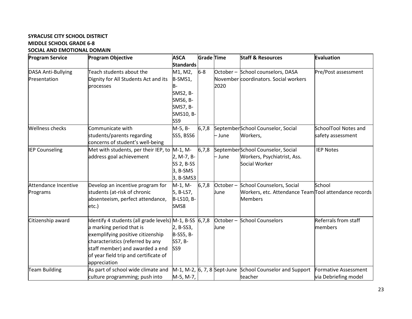#### **SYRACUSE CITY SCHOOL DISTRICT MIDDLE SCHOOL GRADE 6-8 SOCIAL AND EMOTIONAL DOMAIN**

| <b>Program Service</b> | <b>Program Objective</b>                               | <b>ASCA</b>      | <b>Grade Time</b> |          | <b>Staff &amp; Resources</b>                                   | Evaluation           |
|------------------------|--------------------------------------------------------|------------------|-------------------|----------|----------------------------------------------------------------|----------------------|
|                        |                                                        | <b>Standards</b> |                   |          |                                                                |                      |
| DASA Anti-Bullying     | Teach students about the                               | M1, M2,          | $6-8$             |          | October - School counselors, DASA                              | Pre/Post assessment  |
| Presentation           | Dignity for All Students Act and its                   | B-SMS1,          |                   |          | November coordinators. Social workers                          |                      |
|                        | processes                                              | B-               |                   | 2020     |                                                                |                      |
|                        |                                                        | SMS2, B-         |                   |          |                                                                |                      |
|                        |                                                        | SMS6, B-         |                   |          |                                                                |                      |
|                        |                                                        | <b>SMS7, B-</b>  |                   |          |                                                                |                      |
|                        |                                                        | SMS10, B-        |                   |          |                                                                |                      |
|                        |                                                        | SS <sub>9</sub>  |                   |          |                                                                |                      |
| <b>Wellness checks</b> | Communicate with                                       | M-5, B-          | 6,7,8             |          | SeptemberSchool Counselor, Social                              | SchoolTool Notes and |
|                        | students/parents regarding                             | SS5, BSS6        |                   | - June   | Workers,                                                       | safety assessment    |
|                        | concerns of student's well-being                       |                  |                   |          |                                                                |                      |
| <b>IEP Counseling</b>  | Met with students, per their IEP, to                   | $M-1$ , $M-$     | 6,7,8             |          | SeptemberSchool Counselor, Social                              | <b>IEP Notes</b>     |
|                        | address goal achievement                               | 2, M-7, B-       |                   | - June   | Workers, Psychiatrist, Ass.                                    |                      |
|                        |                                                        | SS 2, B-SS       |                   |          | Social Worker                                                  |                      |
|                        |                                                        | 3, B-SMS         |                   |          |                                                                |                      |
|                        |                                                        | 3, B-SMS3        |                   |          |                                                                |                      |
| Attendance Incentive   | Develop an incentive program for                       | M-1, M-          | 6,7,8             | October- | School Counselors, Social                                      | School               |
| Programs               | students (at-risk of chronic                           | 5, B-LS7,        |                   | June     | Workers, etc. Attendance Team Tool attendance records          |                      |
|                        | absenteeism, perfect attendance,                       | B-LS10, B-       |                   |          | <b>Members</b>                                                 |                      |
|                        | etc.)                                                  | SMS8             |                   |          |                                                                |                      |
|                        |                                                        |                  |                   |          |                                                                |                      |
| Citizenship award      | Identify 4 students (all grade levels) M-1, B-SS 6,7,8 |                  |                   |          | October - School Counselors                                    | Referrals from staff |
|                        | a marking period that is                               | 2, B-SS3,        |                   | June     |                                                                | members              |
|                        | exemplifying positive citizenship                      | B-SS5, B-        |                   |          |                                                                |                      |
|                        | characteristics (referred by any                       | SS7, B-          |                   |          |                                                                |                      |
|                        | staff member) and awarded a end                        | SS <sub>9</sub>  |                   |          |                                                                |                      |
|                        | of year field trip and certificate of                  |                  |                   |          |                                                                |                      |
|                        | appreciation                                           |                  |                   |          |                                                                |                      |
| <b>Team Building</b>   | As part of school wide climate and                     |                  |                   |          | $M-1$ , M-2, $ 6, 7, 8$ Sept-June School Counselor and Support | Formative Assessment |
|                        | culture programming; push into                         | M-5, M-7,        |                   |          | teacher                                                        | via Debriefing model |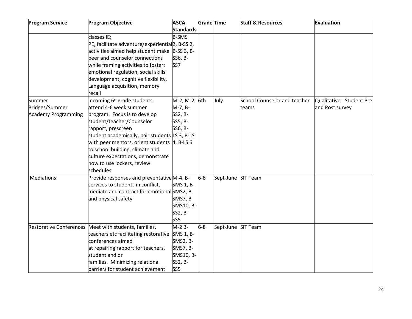| <b>Program Service</b>         | <b>Program Objective</b>                          | <b>ASCA</b>      | <b>Grade Time</b> |                    | <b>Staff &amp; Resources</b>        | Evaluation                |
|--------------------------------|---------------------------------------------------|------------------|-------------------|--------------------|-------------------------------------|---------------------------|
|                                |                                                   | <b>Standards</b> |                   |                    |                                     |                           |
|                                | classes IE;                                       | <b>B-SMS</b>     |                   |                    |                                     |                           |
|                                | PE, facilitate adventure/experiential 2, B-SS 2,  |                  |                   |                    |                                     |                           |
|                                | activities aimed help student make B-SS 3, B-     |                  |                   |                    |                                     |                           |
|                                | peer and counselor connections                    | SS6, B-          |                   |                    |                                     |                           |
|                                | while framing activities to foster;               | SS7              |                   |                    |                                     |                           |
|                                | emotional regulation, social skills               |                  |                   |                    |                                     |                           |
|                                | development, cognitive flexibility,               |                  |                   |                    |                                     |                           |
|                                | Language acquisition, memory                      |                  |                   |                    |                                     |                           |
|                                | recall                                            |                  |                   |                    |                                     |                           |
| Summer                         | Incoming 6 <sup>th</sup> grade students           | M-2, M-2, 6th    |                   | July               | <b>School Counselor and teacher</b> | Qualitative - Student Pre |
| Bridges/Summer                 | attend 4-6 week summer                            | M-7, B-          |                   |                    | teams                               | and Post survey           |
| <b>Academy Programming</b>     | program. Focus is to develop                      | SS2, B-          |                   |                    |                                     |                           |
|                                | student/teacher/Counselor                         | SS5, B-          |                   |                    |                                     |                           |
|                                | rapport, prescreen                                | SS6, B-          |                   |                    |                                     |                           |
|                                | student academically, pair students LS 3, B-LS    |                  |                   |                    |                                     |                           |
|                                | with peer mentors, orient students $\,4$ , B-LS 6 |                  |                   |                    |                                     |                           |
|                                | to school building, climate and                   |                  |                   |                    |                                     |                           |
|                                | culture expectations, demonstrate                 |                  |                   |                    |                                     |                           |
|                                | how to use lockers, review                        |                  |                   |                    |                                     |                           |
|                                | schedules                                         |                  |                   |                    |                                     |                           |
| Mediations                     | Provide responses and preventative M-4, B-        |                  | $6-8$             | Sept-June SIT Team |                                     |                           |
|                                | services to students in conflict,                 | SMS 1, B-        |                   |                    |                                     |                           |
|                                | mediate and contract for emotional SMS2, B-       |                  |                   |                    |                                     |                           |
|                                | and physical safety                               | <b>SMS7, B-</b>  |                   |                    |                                     |                           |
|                                |                                                   | SMS10, B-        |                   |                    |                                     |                           |
|                                |                                                   | SS2, B-          |                   |                    |                                     |                           |
|                                |                                                   | SS <sub>5</sub>  |                   |                    |                                     |                           |
| <b>Restorative Conferences</b> | Meet with students, families,                     | $M-2B-$          | $6-8$             | Sept-June SIT Team |                                     |                           |
|                                | teachers etc facilitating restorative             | SMS 1, B-        |                   |                    |                                     |                           |
|                                | conferences aimed                                 | SMS2, B-         |                   |                    |                                     |                           |
|                                | at repairing rapport for teachers,                | <b>SMS7, B-</b>  |                   |                    |                                     |                           |
|                                | student and or                                    | SMS10, B-        |                   |                    |                                     |                           |
|                                | families. Minimizing relational                   | SS2, B-          |                   |                    |                                     |                           |
|                                | barriers for student achievement                  | SS5              |                   |                    |                                     |                           |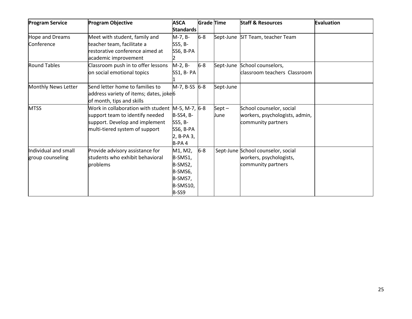| <b>Program Service</b> | <b>Program Objective</b>                           | <b>ASCA</b>      | <b>Grade Time</b> |           | <b>Staff &amp; Resources</b>       | Evaluation |
|------------------------|----------------------------------------------------|------------------|-------------------|-----------|------------------------------------|------------|
|                        |                                                    | <b>Standards</b> |                   |           |                                    |            |
| Hope and Dreams        | Meet with student, family and                      | M-7, B-          | $6-8$             |           | Sept-June SIT Team, teacher Team   |            |
| Conference             | teacher team, facilitate a                         | SS5, B-          |                   |           |                                    |            |
|                        | restorative conference aimed at                    | SS6, B-PA        |                   |           |                                    |            |
|                        | academic improvement                               |                  |                   |           |                                    |            |
| <b>Round Tables</b>    | Classroom push in to offer lessons                 | M-2, B-          | $6-8$             |           | Sept-June School counselors,       |            |
|                        | on social emotional topics                         | SS1, B- PA       |                   |           | classroom teachers Classroom       |            |
|                        |                                                    |                  |                   |           |                                    |            |
| Monthly News Letter    | Send letter home to families to                    | M-7, B-SS 6-8    |                   | Sept-June |                                    |            |
|                        | address variety of items; dates, joke <sup>6</sup> |                  |                   |           |                                    |            |
|                        | of month, tips and skills                          |                  |                   |           |                                    |            |
| <b>MTSS</b>            | Work in collaboration with student                 | M-5, M-7, 6-8    |                   | $Sept -$  | School counselor, social           |            |
|                        | support team to identify needed                    | B-SS4, B-        |                   | June      | workers, psychologists, admin,     |            |
|                        | support. Develop and implement                     | SS5, B-          |                   |           | community partners                 |            |
|                        | multi-tiered system of support                     | SS6, B-PA        |                   |           |                                    |            |
|                        |                                                    | 2, B-PA 3,       |                   |           |                                    |            |
|                        |                                                    | B-PA4            |                   |           |                                    |            |
| Individual and small   | Provide advisory assistance for                    | M1, M2,          | $6-8$             |           | Sept-June School counselor, social |            |
| group counseling       | students who exhibit behavioral                    | B-SMS1,          |                   |           | workers, psychologists,            |            |
|                        | problems                                           | B-SMS2,          |                   |           | community partners                 |            |
|                        |                                                    | B-SMS6,          |                   |           |                                    |            |
|                        |                                                    | B-SMS7,          |                   |           |                                    |            |
|                        |                                                    | B-SMS10,         |                   |           |                                    |            |
|                        |                                                    | $B-SS9$          |                   |           |                                    |            |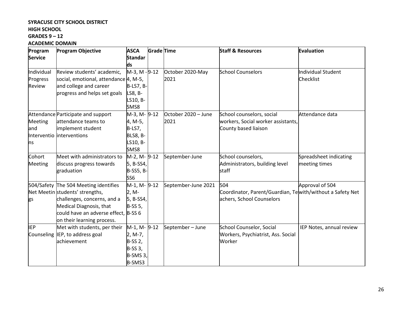# **SYRACUSE CITY SCHOOL DISTRICT**

# **HIGH SCHOOL**

# **GRADES 9 – 12**

#### **ACADEMIC DOMAIN**

| Program<br><b>Service</b> | <b>Program Objective</b>                                                                                                     | <b>ASCA</b><br><b>Standar</b>                                           | <b>Grade Time</b> |                          | <b>Staff &amp; Resources</b>                                                    | <b>Evaluation</b>                       |
|---------------------------|------------------------------------------------------------------------------------------------------------------------------|-------------------------------------------------------------------------|-------------------|--------------------------|---------------------------------------------------------------------------------|-----------------------------------------|
|                           |                                                                                                                              | ds                                                                      |                   |                          |                                                                                 |                                         |
| Individual<br>Progress    | Review students' academic,<br>social, emotional, attendance 4, M-5,                                                          | M-3, M - 9-12                                                           |                   | October 2020-May<br>2021 | <b>School Counselors</b>                                                        | Individual Student<br>Checklist         |
| Review                    | and college and career<br>progress and helps set goals                                                                       | <b>B-LS7, B-</b><br>LS8, B-<br>LS10, B-                                 |                   |                          |                                                                                 |                                         |
|                           |                                                                                                                              | SMS8<br>M-3, M-9-12                                                     |                   | October 2020 - June      | School counselors, social                                                       | Attendance data                         |
| Meeting<br>and<br>ns      | Attendance Participate and support<br>attendance teams to<br>implement student<br>Interventio interventions                  | 4, M-5,<br>$B-LS7,$<br>BLS8, B-<br>LS10, B-<br>SMS8                     |                   | 2021                     | workers, Social worker assistants,<br>County based liaison                      |                                         |
| Cohort<br>Meeting         | Meet with administrators to<br>discuss progress towards<br>graduation                                                        | M-2, M-9-12<br>5, B-SS4,<br><b>B-SS5, B-</b><br>SS <sub>6</sub>         |                   | September-June           | School counselors,<br>Administrators, building level<br>staff                   | Spreadsheet indicating<br>meeting times |
|                           | 504/Safety The 504 Meeting identifies<br>Net Meetin students' strengths,                                                     | M-1, M- 9-12<br>$2, M-$                                                 |                   | September-June 2021      | 504<br>Coordinator, Parent/Guardian, Tewith/without a Safety Net                | Approval of 504                         |
| gs                        | challenges, concerns, and a<br>Medical Diagnosis, that<br>could have an adverse effect, B-SS 6<br>on their learning process. | 5, B-SS4,<br><b>B-SS 5,</b>                                             |                   |                          | achers, School Counselors                                                       |                                         |
| <b>IEP</b><br>Counseling  | Met with students, per their<br>IEP, to address goal<br>achievement                                                          | M-1, M- 9-12<br>2, M-7,<br>B-SS 2,<br>$B-SS3$ ,<br>$B-SMS3$ ,<br>B-SMS3 |                   | September-June           | <b>School Counselor, Social</b><br>Workers, Psychiatrist, Ass. Social<br>Worker | IEP Notes, annual review                |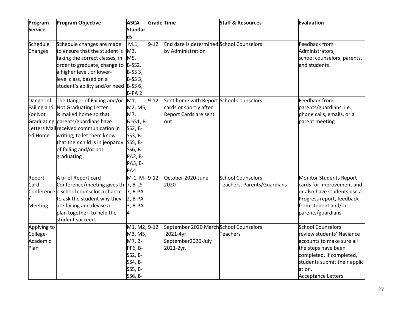| Program            | <b>Program Objective</b>               | <b>ASCA</b>                            | Grade Time |                                          | <b>Staff &amp; Resources</b> | <b>Evaluation</b>              |
|--------------------|----------------------------------------|----------------------------------------|------------|------------------------------------------|------------------------------|--------------------------------|
| <b>Service</b>     |                                        | <b>Standar</b><br>ds                   |            |                                          |                              |                                |
| Schedule           | Schedule changes are made              | M.1,                                   | $9 - 12$   | End date is determined School Counselors |                              | Feedback from                  |
| Changes            | to ensure that the student is          | M3,                                    |            | by Administration                        |                              | Administrators,                |
|                    | taking the correct classes, in         | M5,                                    |            |                                          |                              | school counselors, parents,    |
|                    | order to graduate, change to           | $B-SS2,$                               |            |                                          |                              | and students                   |
|                    | a higher level, or lower-              | $B-SS3$ ,                              |            |                                          |                              |                                |
|                    | level class, based on a                | <b>B-SS 5,</b>                         |            |                                          |                              |                                |
|                    | student's ability and/or need B-SS 6,  |                                        |            |                                          |                              |                                |
|                    |                                        | B-PA <sub>2</sub>                      |            |                                          |                              |                                |
| Danger of          | The Danger of Failing and/or           | M <sub>1</sub>                         | $9 - 12$   | Sent home with Report School Counselors  |                              | Feedback from                  |
| <b>Failing and</b> | Not Graduating Letter                  | M2, M5,                                |            | cards or shortly after                   |                              | parents/guardians. i.e.,       |
| /or Not            | is mailed home so that                 | M7,                                    |            | Report Cards are sent                    |                              | phone calls, emails, or a      |
|                    | Graduating parents/guardians have      | <b>B-SS1, B-</b>                       |            | out                                      |                              | parent meeting                 |
|                    | Letters Mailreceived communication in  | SS2, B-                                |            |                                          |                              |                                |
| ed Home            | writing, to let them know              | SS3, B-                                |            |                                          |                              |                                |
|                    | that their child is in jeopardy        | SS5, B-                                |            |                                          |                              |                                |
|                    | of failing and/or not                  | SS6, B-                                |            |                                          |                              |                                |
|                    | graduating                             | PA2, B-                                |            |                                          |                              |                                |
|                    |                                        | PA3, B-                                |            |                                          |                              |                                |
|                    |                                        | PA4                                    |            |                                          |                              |                                |
| Report             | A brief Report card                    | M-1, M- 9-12                           |            | October 2020-June                        | <b>School Counselors</b>     | <b>Monitor Students Report</b> |
| Card               | Conference/meeting gives th  7, B-LS   |                                        |            | 2020                                     | Teachers, Parents/Guardians  | cards for improvement and      |
|                    | Conference e school counselor a chance | 7, B-PA                                |            |                                          |                              | or also have students use a    |
|                    | to ask the student why they            | $2, B-PA$                              |            |                                          |                              | Progress report, feedback      |
| <b>Meeting</b>     | are failing and devise a               | 3, B-PA                                |            |                                          |                              | from student and/or            |
|                    | plan together, to help the             | 4                                      |            |                                          |                              | parents/guardians              |
|                    | student succeed.                       |                                        |            |                                          |                              |                                |
| Applying to        |                                        | M <sub>1</sub> , M <sub>2</sub> , 9-12 |            | September 2020 MarchSchool Counselors    |                              | <b>School Counselors</b>       |
| College-           |                                        | M3, M5,                                |            | 2021-4yr.                                | <b>Teachers</b>              | review students' Naviance      |
| Academic           |                                        | M7, B-                                 |            | September2020-July                       |                              | accounts to make sure all      |
| Plan               |                                        | PF6, B-                                |            | 2021-2yr.                                |                              | the steps have been            |
|                    |                                        | SS2, B-                                |            |                                          |                              | completed. If completed,       |
|                    |                                        | SS4, B-                                |            |                                          |                              | students submit their applic   |
|                    |                                        | SS5, B-                                |            |                                          |                              | ation.                         |
|                    |                                        | SS6, B-                                |            |                                          |                              | <b>Acceptance Letters</b>      |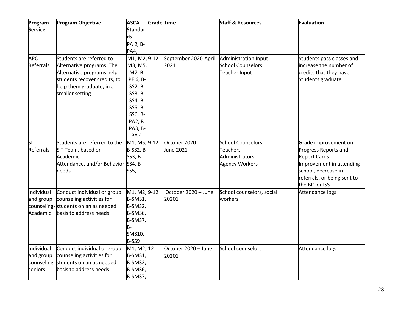| Program<br><b>Service</b>           | <b>Program Objective</b>                                                                                                                                          | <b>ASCA</b><br><b>Standar</b><br>ds                                                                                                      | <b>Grade Time</b> |                              | <b>Staff &amp; Resources</b>                                                           | Evaluation                                                                                                                                                              |
|-------------------------------------|-------------------------------------------------------------------------------------------------------------------------------------------------------------------|------------------------------------------------------------------------------------------------------------------------------------------|-------------------|------------------------------|----------------------------------------------------------------------------------------|-------------------------------------------------------------------------------------------------------------------------------------------------------------------------|
|                                     |                                                                                                                                                                   | PA 2, B-<br>PA4,                                                                                                                         |                   |                              |                                                                                        |                                                                                                                                                                         |
| <b>APC</b><br>Referrals             | Students are referred to<br>Alternative programs. The<br>Alternative programs help<br>students recover credits, to<br>help them graduate, in a<br>smaller setting | M1, M2, 9-12<br>M3, M5,<br>M7, B-<br>PF 6, B-<br>SS2, B-<br>SS3, B-<br>SS4, B-<br>SS5, B-<br>SS6, B-<br><b>PA2, B-</b><br>PA3, B-<br>PA4 |                   | September 2020-April<br>2021 | Administration Input<br><b>School Counselors</b><br>Teacher Input                      | Students pass classes and<br>increase the number of<br>credits that they have<br>Students graduate                                                                      |
| <b>SIT</b><br>Referrals             | Students are referred to the<br>SIT Team, based on<br>Academic,<br>Attendance, and/or Behavior SS4, B-<br>needs                                                   | M <sub>1</sub> , M <sub>5</sub> , 9-12<br><b>B-SS2, B-</b><br>SS3, B-<br>SS5,                                                            |                   | October 2020-<br>June 2021   | <b>School Counselors</b><br><b>Teachers</b><br>Administrators<br><b>Agency Workers</b> | Grade improvement on<br>Progress Reports and<br><b>Report Cards</b><br>Improvement in attending<br>school, decrease in<br>referrals, or being sent to<br>the BIC or ISS |
| Individual<br>and group<br>Academic | Conduct individual or group<br>counseling activities for<br>counseling- students on an as needed<br>basis to address needs                                        | M <sub>1</sub> , M <sub>2</sub> , 9-12<br>B-SMS1,<br>B-SMS2,<br>B-SMS6,<br>B-SMS7,<br>B-<br>SMS10,<br>B-SS9                              |                   | October 2020 - June<br>20201 | School counselors, social<br>workers                                                   | Attendance logs                                                                                                                                                         |
| Individual<br>and group<br>seniors  | Conduct individual or group<br>counseling activities for<br>counseling-<br>students on an as needed<br>basis to address needs                                     | M1, M2, 12<br>B-SMS1,<br>B-SMS2,<br>B-SMS6,<br>B-SMS7,                                                                                   |                   | October 2020 - June<br>20201 | School counselors                                                                      | Attendance logs                                                                                                                                                         |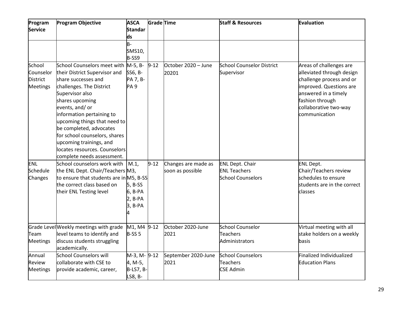| Program<br><b>Service</b>                                 | <b>Program Objective</b>                                                                                                                                                                                                                                                                                                                                                                            | <b>ASCA</b><br><b>Standar</b><br>ds                      | Grade Time |                                         | <b>Staff &amp; Resources</b>                                              | <b>Evaluation</b>                                                                                                                                                                                |
|-----------------------------------------------------------|-----------------------------------------------------------------------------------------------------------------------------------------------------------------------------------------------------------------------------------------------------------------------------------------------------------------------------------------------------------------------------------------------------|----------------------------------------------------------|------------|-----------------------------------------|---------------------------------------------------------------------------|--------------------------------------------------------------------------------------------------------------------------------------------------------------------------------------------------|
|                                                           |                                                                                                                                                                                                                                                                                                                                                                                                     | $B -$<br>SMS10,<br>B-SS9                                 |            |                                         |                                                                           |                                                                                                                                                                                                  |
| School<br>Counselor<br><b>District</b><br><b>Meetings</b> | School Counselors meet with M-5, B-<br>their District Supervisor and<br>share successes and<br>challenges. The District<br>Supervisor also<br>shares upcoming<br>events, and/ or<br>information pertaining to<br>upcoming things that need to<br>be completed, advocates<br>for school counselors, shares<br>upcoming trainings, and<br>locates resources. Counselors<br>complete needs assessment. | SS6, B-<br>PA 7, B-<br>PA <sub>9</sub>                   | $9 - 12$   | October 2020 - June<br>20201            | <b>School Counselor District</b><br>Supervisor                            | Areas of challenges are<br>alleviated through design<br>challenge process and or<br>improved. Questions are<br>answered in a timely<br>fashion through<br>collaborative two-way<br>communication |
| ENL<br>Schedule<br>Changes                                | School counselors work with<br>the ENL Dept. Chair/Teachers M3,<br>to ensure that students are in M5, B-SS<br>the correct class based on<br>their ENL Testing level                                                                                                                                                                                                                                 | M.1<br>$5, B-SS$<br>6, B-PA<br>$2, B-PA$<br>3, B-PA<br>4 | $9 - 12$   | Changes are made as<br>soon as possible | <b>ENL Dept. Chair</b><br><b>ENL Teachers</b><br><b>School Counselors</b> | <b>ENL Dept.</b><br>Chair/Teachers review<br>schedules to ensure<br>students are in the correct<br>classes                                                                                       |
| Team<br><b>Meetings</b>                                   | Grade Level Weekly meetings with grade<br>level teams to identify and<br>discuss students struggling<br>academically.                                                                                                                                                                                                                                                                               | M1, M4 9-12<br>$B-SS5$                                   |            | October 2020-June<br>2021               | School Counselor<br><b>Teachers</b><br><b>Administrators</b>              | Virtual meeting with all<br>stake holders on a weekly<br>basis                                                                                                                                   |
| Annual<br>Review<br><b>Meetings</b>                       | <b>School Counselors will</b><br>collaborate with CSE to<br>provide academic, career,                                                                                                                                                                                                                                                                                                               | M-3, M-9-12<br>4, M-5,<br><b>B-LS7, B-</b><br>LS8, B-    |            | September 2020-June<br>2021             | <b>School Counselors</b><br><b>Teachers</b><br><b>CSE Admin</b>           | Finalized Individualized<br><b>Education Plans</b>                                                                                                                                               |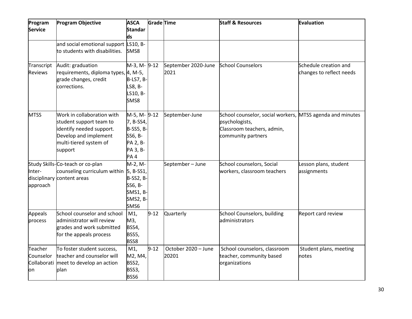| Program<br><b>Service</b>    | <b>Program Objective</b>                                                                                                                        | <b>ASCA</b><br><b>Standar</b><br>ds                                                                 | Grade Time |                              | <b>Staff &amp; Resources</b>                                                                                                    | Evaluation                                        |
|------------------------------|-------------------------------------------------------------------------------------------------------------------------------------------------|-----------------------------------------------------------------------------------------------------|------------|------------------------------|---------------------------------------------------------------------------------------------------------------------------------|---------------------------------------------------|
|                              | and social emotional support LS10, B-<br>to students with disabilities.                                                                         | SMS8                                                                                                |            |                              |                                                                                                                                 |                                                   |
| Transcript<br><b>Reviews</b> | Audit: graduation<br>requirements, diploma types, 4, M-5,<br>grade changes, credit<br>corrections.                                              | M-3, M-9-12<br>B-LS7, B-<br>LS8, B-<br>LS10, B-<br>SMS8                                             |            | September 2020-June<br>2021  | <b>School Counselors</b>                                                                                                        | Schedule creation and<br>changes to reflect needs |
| <b>MTSS</b>                  | Work in collaboration with<br>student support team to<br>identify needed support.<br>Develop and implement<br>multi-tiered system of<br>support | M-5, M- 9-12<br>7, B-SS4,<br><b>B-SS5, B-</b><br>SS6, B-<br>PA 2, B-<br>PA 3, B-<br>PA <sub>4</sub> |            | September-June               | School counselor, social workers, MTSS agenda and minutes<br>psychologists,<br>Classroom teachers, admin,<br>community partners |                                                   |
| Inter-<br>approach           | Study Skills-Co-teach or co-plan<br>counseling curriculum within $\vert$ 5, B-SS1,<br>disciplinary content areas                                | M-2, M-<br><b>B-SS2, B-</b><br>SS6, B-<br>SMS1, B-<br>SMS2, B-<br>SMS6                              |            | September-June               | School counselors, Social<br>workers, classroom teachers                                                                        | Lesson plans, student<br>assignments              |
| <b>Appeals</b><br>process    | School counselor and school<br>administrator will review<br>grades and work submitted<br>for the appeals process                                | M1,<br>M3,<br>BSS4,<br>BSS5,<br>BSS8                                                                | $9 - 12$   | Quarterly                    | School Counselors, building<br>administrators                                                                                   | Report card review                                |
| Teacher<br>Counselor<br>on   | To foster student success,<br>teacher and counselor will<br>Collaborati meet to develop an action<br>plan                                       | M1,<br>M2, M4,<br>BSS2,<br>BSS3,<br>BSS6                                                            | $9 - 12$   | October 2020 - June<br>20201 | School counselors, classroom<br>teacher, community based<br>organizations                                                       | Student plans, meeting<br>notes                   |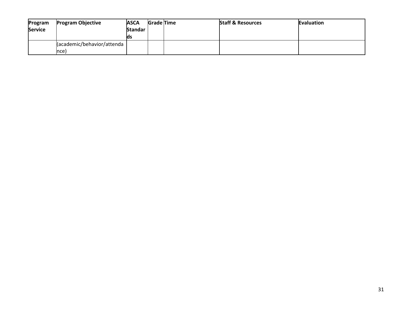| Program        | <b>Program Objective</b> | <b>ASCA</b>    | <b>Grade Time</b> | <b>Staff &amp; Resources</b> | Evaluation |
|----------------|--------------------------|----------------|-------------------|------------------------------|------------|
| <b>Service</b> |                          | <b>Standar</b> |                   |                              |            |
|                |                          | lds            |                   |                              |            |
|                | cademic/behavior/attenda |                |                   |                              |            |
|                | nce)                     |                |                   |                              |            |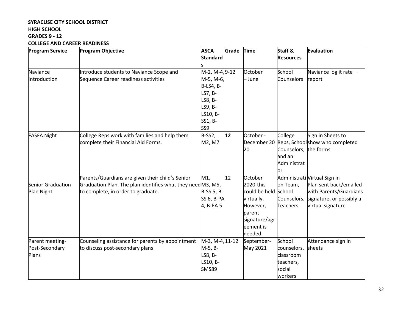# **SYRACUSE CITY SCHOOL DISTRICT HIGH SCHOOL GRADES 9 - 12 COLLEGE AND CAREER READINESS**

| <b>Program Service</b><br><b>Program Objective</b> |                                                             | <b>ASCA</b><br><b>Standard</b> | Grade | <b>Time</b>   | Staff &<br><b>Resources</b> | <b>Evaluation</b>              |
|----------------------------------------------------|-------------------------------------------------------------|--------------------------------|-------|---------------|-----------------------------|--------------------------------|
|                                                    |                                                             |                                |       |               |                             |                                |
| Naviance                                           | Introduce students to Naviance Scope and                    | M-2, M-4, 9-12                 |       | October       | School                      | Naviance $log$ it rate $-$     |
| Introduction                                       | Sequence Career readiness activities                        | M-5, M-6,                      |       | - June        | Counselors                  | report                         |
|                                                    |                                                             | <b>B-LS4, B-</b>               |       |               |                             |                                |
|                                                    |                                                             | LS7, B-                        |       |               |                             |                                |
|                                                    |                                                             | LS8, B-                        |       |               |                             |                                |
|                                                    |                                                             | LS9, B-                        |       |               |                             |                                |
|                                                    |                                                             | LS10, B-                       |       |               |                             |                                |
|                                                    |                                                             | SS1, B-                        |       |               |                             |                                |
|                                                    |                                                             | SS <sub>9</sub>                |       |               |                             |                                |
| <b>FASFA Night</b>                                 | College Reps work with families and help them               | B-SS2,                         | 12    | October -     | College                     | Sign in Sheets to              |
|                                                    | complete their Financial Aid Forms.                         | M2, M7                         |       | December 20   |                             | Reps, Schoolshow who completed |
|                                                    |                                                             |                                |       | 20            | Counselors, the forms       |                                |
|                                                    |                                                             |                                |       |               | and an                      |                                |
|                                                    |                                                             |                                |       |               | Administrat                 |                                |
|                                                    |                                                             |                                |       |               | or                          |                                |
|                                                    | Parents/Guardians are given their child's Senior            | M1,                            | 12    | October       |                             | Administrati Virtual Sign in   |
| Senior Graduation                                  | Graduation Plan. The plan identifies what they need M3, M5, |                                |       | 2020-this     | on Team,                    | Plan sent back/emailed         |
| Plan Night                                         | to complete, in order to graduate.                          | B-SS 5, B-                     |       | could be held | School                      | with Parents/Guardians         |
|                                                    |                                                             | <b>SS 6, B-PA</b>              |       | virtually.    | Counselors,                 | signature, or possibly a       |
|                                                    |                                                             | 4, B-PA 5                      |       | However,      | <b>Teachers</b>             | virtual signature              |
|                                                    |                                                             |                                |       | parent        |                             |                                |
|                                                    |                                                             |                                |       | signature/agr |                             |                                |
|                                                    |                                                             |                                |       | leement is    |                             |                                |
|                                                    |                                                             |                                |       | needed.       |                             |                                |
| Parent meeting-                                    | Counseling assistance for parents by appointment            | M-3, M-4, 11-12                |       | September-    | School                      | Attendance sign in             |
| Post-Secondary                                     | to discuss post-secondary plans                             | M-5, B-                        |       | May 2021      | counselors,                 | sheets                         |
| Plans                                              |                                                             | LS8, B-                        |       |               | classroom                   |                                |
|                                                    |                                                             | LS10, B-                       |       |               | teachers,                   |                                |
|                                                    |                                                             | <b>SMS89</b>                   |       |               | social                      |                                |
|                                                    |                                                             |                                |       |               | workers                     |                                |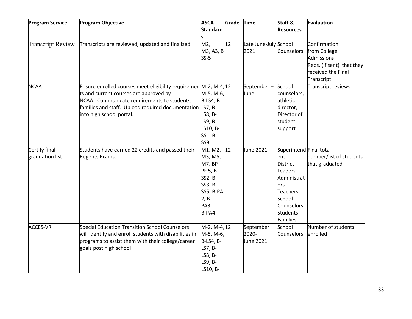| <b>Program Service</b>   | <b>Program Objective</b>                                         | <b>ASCA</b>      | Grade | Time                  | Staff &                 | Evaluation                |
|--------------------------|------------------------------------------------------------------|------------------|-------|-----------------------|-------------------------|---------------------------|
|                          |                                                                  | <b>Standard</b>  |       |                       | <b>Resources</b>        |                           |
|                          |                                                                  |                  |       |                       |                         |                           |
| <b>Transcript Review</b> | Transcripts are reviewed, updated and finalized                  | M2,              | 12    | Late June-July School |                         | Confirmation              |
|                          |                                                                  | M3, A3, B        |       | 2021                  | Counselors              | from College              |
|                          |                                                                  | $SS-5$           |       |                       |                         | Admissions                |
|                          |                                                                  |                  |       |                       |                         | Reps, (if sent) that they |
|                          |                                                                  |                  |       |                       |                         | received the Final        |
|                          |                                                                  |                  |       |                       |                         | Transcript                |
| <b>NCAA</b>              | Ensure enrolled courses meet eligibility requiremen M-2, M-4, 12 |                  |       | September-            | School                  | Transcript reviews        |
|                          | ts and current courses are approved by                           | M-5, M-6,        |       | June                  | counselors,             |                           |
|                          | NCAA. Communicate requirements to students,                      | <b>B-LS4, B-</b> |       |                       | athletic                |                           |
|                          | families and staff. Upload required documentation LS7, B-        |                  |       |                       | director,               |                           |
|                          | into high school portal.                                         | LS8, B-          |       |                       | Director of             |                           |
|                          |                                                                  | LS9, B-          |       |                       | student                 |                           |
|                          |                                                                  | LS10, B-         |       |                       | support                 |                           |
|                          |                                                                  | SS1, B-          |       |                       |                         |                           |
|                          |                                                                  | SS <sub>9</sub>  |       |                       |                         |                           |
| Certify final            | Students have earned 22 credits and passed their                 | M1, M2,          | 12    | June 2021             | Superintend Final total |                           |
| graduation list          | Regents Exams.                                                   | M3, M5,          |       |                       | ent                     | number/list of students   |
|                          |                                                                  | M7, BP-          |       |                       | <b>District</b>         | that graduated            |
|                          |                                                                  | PF 5, B-         |       |                       | Leaders                 |                           |
|                          |                                                                  | SS2, B-          |       |                       | Administrat             |                           |
|                          |                                                                  | SS3, B-          |       |                       | ors                     |                           |
|                          |                                                                  | SS5. B-PA        |       |                       | <b>Teachers</b>         |                           |
|                          |                                                                  | 2, B-            |       |                       | School                  |                           |
|                          |                                                                  | PA3,             |       |                       | Counselors              |                           |
|                          |                                                                  | B-PA4            |       |                       | <b>Students</b>         |                           |
|                          |                                                                  |                  |       |                       | Families                |                           |
| <b>ACCES-VR</b>          | Special Education Transition School Counselors                   | M-2, M-4, 12     |       | September             | School                  | Number of students        |
|                          | will identify and enroll students with disabilities in           | M-5, M-6,        |       | 2020-                 | Counselors              | enrolled                  |
|                          | programs to assist them with their college/career                | B-LS4, B-        |       | June 2021             |                         |                           |
|                          | goals post high school                                           | LS7, B-          |       |                       |                         |                           |
|                          |                                                                  | LS8, B-          |       |                       |                         |                           |
|                          |                                                                  | LS9, B-          |       |                       |                         |                           |
|                          |                                                                  | LS10, B-         |       |                       |                         |                           |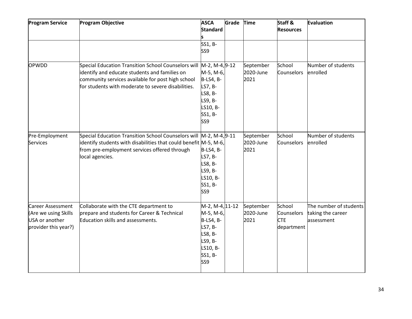| <b>Program Service</b>                                                              | <b>Program Objective</b>                                                                                                                                                                                        | <b>ASCA</b><br><b>Standard</b>                                                                                 | Grade | <b>Time</b>                    | Staff &<br><b>Resources</b>                      | <b>Evaluation</b>                                         |
|-------------------------------------------------------------------------------------|-----------------------------------------------------------------------------------------------------------------------------------------------------------------------------------------------------------------|----------------------------------------------------------------------------------------------------------------|-------|--------------------------------|--------------------------------------------------|-----------------------------------------------------------|
|                                                                                     |                                                                                                                                                                                                                 |                                                                                                                |       |                                |                                                  |                                                           |
|                                                                                     |                                                                                                                                                                                                                 | SS1, B-                                                                                                        |       |                                |                                                  |                                                           |
|                                                                                     |                                                                                                                                                                                                                 | SS <sub>9</sub>                                                                                                |       |                                |                                                  |                                                           |
| OPWDD                                                                               | Special Education Transition School Counselors will<br>identify and educate students and families on<br>community services available for post high school<br>for students with moderate to severe disabilities. | M-2, M-4, 9-12<br>M-5, M-6,<br><b>B-LS4, B-</b><br>LS7, B-<br>LS8, B-<br>LS9, B-<br>LS10, B-<br>SS1, B-<br>SS9 |       | September<br>2020-June<br>2021 | School<br>Counselors                             | Number of students<br>enrolled                            |
| Pre-Employment<br><b>Services</b>                                                   | Special Education Transition School Counselors will<br>identify students with disabilities that could benefit M-5, M-6,<br>from pre-employment services offered through<br>local agencies.                      | M-2, M-4, 9-11<br><b>B-LS4, B-</b><br>LS7, B-<br>LS8, B-<br>LS9, B-<br>LS10, B-<br>SS1, B-<br>SS <sub>9</sub>  |       | September<br>2020-June<br>2021 | School<br>Counselors                             | Number of students<br>enrolled                            |
| Career Assessment<br>(Are we using Skills<br>USA or another<br>provider this year?) | Collaborate with the CTE department to<br>prepare and students for Career & Technical<br>Education skills and assessments.                                                                                      | M-2, M-4, 11-12<br>M-5, M-6,<br>B-LS4, B-<br>LS7, B-<br>LS8, B-<br>LS9, B-<br>LS10, B-<br>SS1, B-<br>SS9       |       | September<br>2020-June<br>2021 | School<br>Counselors<br><b>CTE</b><br>department | The number of students<br>taking the career<br>assessment |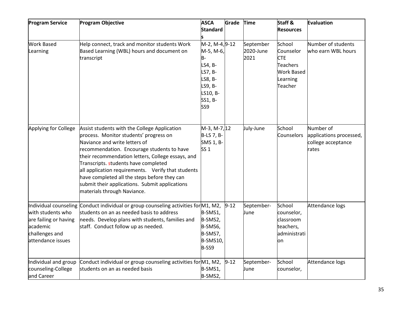| <b>Program Service</b> | <b>Program Objective</b>                                                               | <b>ASCA</b>      | Grade    | <b>Time</b> | Staff &           | Evaluation              |
|------------------------|----------------------------------------------------------------------------------------|------------------|----------|-------------|-------------------|-------------------------|
|                        |                                                                                        | <b>Standard</b>  |          |             | <b>Resources</b>  |                         |
| <b>Work Based</b>      | Help connect, track and monitor students Work                                          | M-2, M-4, 9-12   |          | September   | School            | Number of students      |
| Learning               | Based Learning (WBL) hours and document on                                             | M-5, M-6,        |          | 2020-June   | Counselor         | who earn WBL hours      |
|                        | transcript                                                                             | в-               |          | 2021        | <b>CTE</b>        |                         |
|                        |                                                                                        | LS4, B-          |          |             | <b>Teachers</b>   |                         |
|                        |                                                                                        | LS7, B-          |          |             | <b>Work Based</b> |                         |
|                        |                                                                                        | LS8, B-          |          |             | Learning          |                         |
|                        |                                                                                        | LS9, B-          |          |             | Teacher           |                         |
|                        |                                                                                        | LS10, B-         |          |             |                   |                         |
|                        |                                                                                        | SS1, B-          |          |             |                   |                         |
|                        |                                                                                        | SS <sub>9</sub>  |          |             |                   |                         |
| Applying for College   |                                                                                        | M-3, M-7, 12     |          | July-June   | School            | Number of               |
|                        | Assist students with the College Application<br>process. Monitor students' progress on | B-LS 7, B-       |          |             | <b>Counselors</b> | applications processed, |
|                        | Naviance and write letters of                                                          | <b>SMS 1, B-</b> |          |             |                   | college acceptance      |
|                        | recommendation. Encourage students to have                                             | SS <sub>1</sub>  |          |             |                   | rates                   |
|                        | their recommendation letters, College essays, and                                      |                  |          |             |                   |                         |
|                        | Transcripts. students have completed                                                   |                  |          |             |                   |                         |
|                        | all application requirements. Verify that students                                     |                  |          |             |                   |                         |
|                        | have completed all the steps before they can                                           |                  |          |             |                   |                         |
|                        | submit their applications. Submit applications                                         |                  |          |             |                   |                         |
|                        | materials through Naviance.                                                            |                  |          |             |                   |                         |
|                        |                                                                                        |                  |          |             |                   |                         |
|                        | Individual counseling Conduct individual or group counseling activities for M1, M2,    |                  | $9 - 12$ | September-  | School            | Attendance logs         |
| with students who      | students on an as needed basis to address                                              | B-SMS1,          |          | June        | counselor,        |                         |
| are failing or having  | needs. Develop plans with students, families and                                       | B-SMS2,          |          |             | classroom         |                         |
| academic               | staff. Conduct follow up as needed.                                                    | B-SMS6,          |          |             | teachers,         |                         |
| challenges and         |                                                                                        | B-SMS7,          |          |             | administrati      |                         |
| attendance issues      |                                                                                        | B-SMS10,         |          |             | on                |                         |
|                        |                                                                                        | B-SS9            |          |             |                   |                         |
| Individual and group   | Conduct individual or group counseling activities for M1, M2,                          |                  | $9 - 12$ | September-  | School            | Attendance logs         |
| counseling-College     | students on an as needed basis                                                         | B-SMS1,          |          | June        | counselor,        |                         |
| and Career             |                                                                                        | B-SMS2,          |          |             |                   |                         |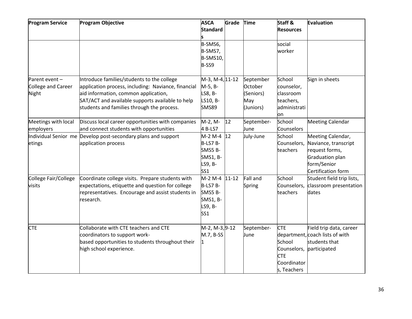| <b>Program Service</b> | Program Objective                                             | <b>ASCA</b>     | Grade | Time       | Staff &          | Evaluation                      |
|------------------------|---------------------------------------------------------------|-----------------|-------|------------|------------------|---------------------------------|
|                        |                                                               | <b>Standard</b> |       |            | <b>Resources</b> |                                 |
|                        |                                                               |                 |       |            |                  |                                 |
|                        |                                                               | B-SMS6,         |       |            | social           |                                 |
|                        |                                                               | B-SMS7,         |       |            | worker           |                                 |
|                        |                                                               | <b>B-SMS10,</b> |       |            |                  |                                 |
|                        |                                                               | B-SS9           |       |            |                  |                                 |
| Parent event-          | Introduce families/students to the college                    | M-3, M-4, 11-12 |       | September  | School           | Sign in sheets                  |
| College and Career     | application process, including: Naviance, financial           | M-5, B-         |       | October    | counselor,       |                                 |
| Night                  | aid information, common application,                          | LS8, B-         |       | (Seniors)  | classroom        |                                 |
|                        | SAT/ACT and available supports available to help              | LS10, B-        |       | May        | teachers,        |                                 |
|                        | students and families through the process.                    | <b>SMS89</b>    |       | (Juniors)  | administrati     |                                 |
|                        |                                                               |                 |       |            | on               |                                 |
| Meetings with local    | Discuss local career opportunities with companies             | M-2, M-         | 12    | September- | School           | <b>Meeting Calendar</b>         |
| employers              | and connect students with opportunities                       | 4 B-LS7         |       | June       | Counselors       |                                 |
|                        | Individual Senior me Develop post-secondary plans and support | M-2 M-4 12      |       | July-June  | School           | Meeting Calendar,               |
| etings                 | application process                                           | B-LS7 B-        |       |            | Counselors,      | Naviance, transcript            |
|                        |                                                               | SMS5 B-         |       |            | teachers         | request forms,                  |
|                        |                                                               | <b>SMS1, B-</b> |       |            |                  | Graduation plan                 |
|                        |                                                               | LS9, B-         |       |            |                  | form/Senior                     |
|                        |                                                               | SS <sub>1</sub> |       |            |                  | Certification form              |
| College Fair/College   | Coordinate college visits. Prepare students with              | M-2 M-4 11-12   |       | Fall and   | School           | Student field trip lists,       |
| visits                 | expectations, etiquette and question for college              | B-LS7 B-        |       | Spring     | Counselors,      | classroom presentation          |
|                        | representatives. Encourage and assist students in             | SMS5 B-         |       |            | teachers         | dates                           |
|                        | research.                                                     | <b>SMS1, B-</b> |       |            |                  |                                 |
|                        |                                                               | LS9, B-         |       |            |                  |                                 |
|                        |                                                               | SS <sub>1</sub> |       |            |                  |                                 |
| <b>CTE</b>             | Collaborate with CTE teachers and CTE                         | M-2, M-3, 9-12  |       | September- | <b>CTE</b>       | Field trip data, career         |
|                        | coordinators to support work-                                 | M.7, B-SS       |       | June       |                  | department, coach lists of with |
|                        | based opportunities to students throughout their              |                 |       |            | School           | students that                   |
|                        | high school experience.                                       |                 |       |            | Counselors,      | participated                    |
|                        |                                                               |                 |       |            | <b>CTE</b>       |                                 |
|                        |                                                               |                 |       |            | Coordinator      |                                 |
|                        |                                                               |                 |       |            | s, Teachers      |                                 |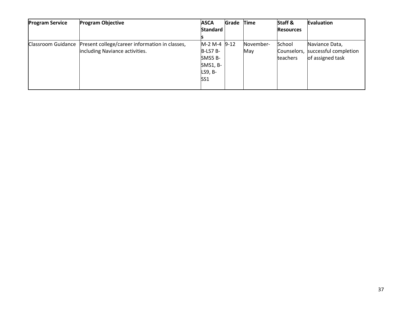| <b>Program Service</b>    | <b>Program Objective</b><br><b>ASCA</b>        |                 | Grade Time |           | Staff &          | Evaluation                        |
|---------------------------|------------------------------------------------|-----------------|------------|-----------|------------------|-----------------------------------|
|                           |                                                | <b>Standard</b> |            |           | <b>Resources</b> |                                   |
|                           |                                                |                 |            |           |                  |                                   |
| <b>Classroom Guidance</b> | Present college/career information in classes, | $M-2 M-4 D-12$  |            | November- | School           | Naviance Data,                    |
|                           | including Naviance activities.                 | $B-LS7B-$       |            | May       |                  | Counselors, successful completion |
|                           |                                                | SMS5 B-         |            |           | <b>teachers</b>  | of assigned task                  |
|                           |                                                | $SMS1, B-$      |            |           |                  |                                   |
|                           |                                                | LS9, B-         |            |           |                  |                                   |
|                           |                                                | SS <sub>1</sub> |            |           |                  |                                   |
|                           |                                                |                 |            |           |                  |                                   |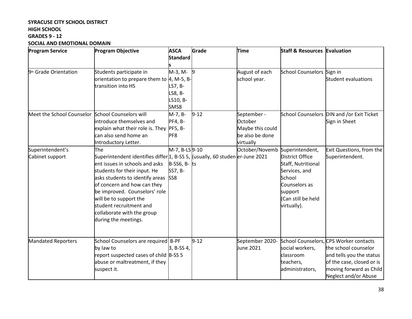# **SYRACUSE CITY SCHOOL DISTRICT HIGH SCHOOL GRADES 9 - 12 SOCIAL AND EMOTIONAL DOMAIN**

| <b>Program Service</b>                           | <b>Program Objective</b>                                                                                                                                                                                                                                                                                                                                            | <b>ASCA</b>                                                   | Grade          | <b>Time</b>                                                                | <b>Staff &amp; Resources Evaluation</b>                                                                                           |                                                                                                                                                                            |
|--------------------------------------------------|---------------------------------------------------------------------------------------------------------------------------------------------------------------------------------------------------------------------------------------------------------------------------------------------------------------------------------------------------------------------|---------------------------------------------------------------|----------------|----------------------------------------------------------------------------|-----------------------------------------------------------------------------------------------------------------------------------|----------------------------------------------------------------------------------------------------------------------------------------------------------------------------|
|                                                  |                                                                                                                                                                                                                                                                                                                                                                     | <b>Standard</b>                                               |                |                                                                            |                                                                                                                                   |                                                                                                                                                                            |
| 9 <sup>th</sup> Grade Orientation                | Students participate in<br>orientation to prepare them to 4, M-5, B-<br>transition into HS                                                                                                                                                                                                                                                                          | M-3, M-<br>LS7, B-<br>LS8, B-<br>LS10, B-<br>SMS8             | $\overline{9}$ | August of each<br>school year.                                             | School Counselors Sign in                                                                                                         | Student evaluations                                                                                                                                                        |
| Meet the School Counselor School Counselors will | introduce themselves and<br>explain what their role is. They<br>can also send home an<br>Introductory Letter.                                                                                                                                                                                                                                                       | M-7, B-<br>$PF4, B-$<br><b>PF5, B-</b><br>PF <sub>8</sub>     | $9 - 12$       | September -<br>October<br>Maybe this could<br>be also be done<br>virtually |                                                                                                                                   | School Counselors DIN and /or Exit Ticket<br>Sign in Sheet                                                                                                                 |
| Superintendent's<br>Cabinet support              | The<br>Superintendent identifies differ 1, B-SS 5, (usually, 60 studen er-June 2021<br>ent issues in schools and asks<br>students for their input. He<br>asks students to identify areas<br>of concern and how can they<br>be improved. Counselors' role<br>will be to support the<br>student recruitment and<br>collaborate with the group<br>during the meetings. | M-7, B-LS9-10<br>$B-SS6, B-$ ts<br>SS7, B-<br>SS <sub>8</sub> |                | October/Novemb Superintendent,                                             | District Office<br>Staff, Nutritional<br>Services, and<br>School<br>Counselors as<br>support<br>(Can still be held<br>virtually). | Exit Questions, from the<br>Superintendent.                                                                                                                                |
| Mandated Reporters                               | School Counselors are required B-PF<br>by law to<br>report suspected cases of child B-SS 5<br>abuse or maltreatment, if they<br>suspect it.                                                                                                                                                                                                                         | 3, B-SS 4,                                                    | $9 - 12$       | September 2020-<br>June 2021                                               | social workers,<br>classroom<br>teachers,<br>administrators,                                                                      | School Counselors, CPS Worker contacts<br>the school counselor<br>and tells you the status<br>of the case, closed or is<br>moving forward as Child<br>Neglect and/or Abuse |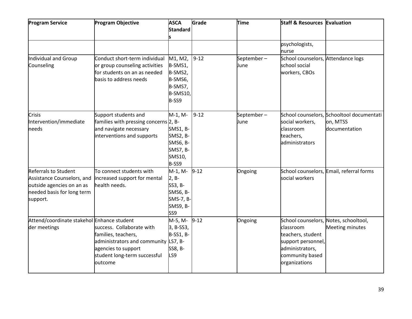| <b>Program Service</b>                                                                                                           | <b>Program Objective</b>                                                                                                                                   | <b>ASCA</b><br><b>Standard</b>                                                                  | Grade    | <b>Time</b>        | <b>Staff &amp; Resources Evaluation</b>                                                                                                              |                                                                        |
|----------------------------------------------------------------------------------------------------------------------------------|------------------------------------------------------------------------------------------------------------------------------------------------------------|-------------------------------------------------------------------------------------------------|----------|--------------------|------------------------------------------------------------------------------------------------------------------------------------------------------|------------------------------------------------------------------------|
|                                                                                                                                  |                                                                                                                                                            |                                                                                                 |          |                    | psychologists,<br>nurse                                                                                                                              |                                                                        |
| Individual and Group<br>Counseling                                                                                               | Conduct short-term individual<br>or group counseling activities<br>for students on an as needed<br>basis to address needs                                  | M1, M2,<br>B-SMS1,<br>B-SMS2,<br>B-SMS6,<br>B-SMS7,<br><b>B-SMS10</b><br>B-SS9                  | $9 - 12$ | September-<br>June | School counselors, Attendance logs<br>school social<br>workers, CBOs                                                                                 |                                                                        |
| Crisis<br>Intervention/immediate<br>needs                                                                                        | Support students and<br>families with pressing concerns 2, B-<br>and navigate necessary<br>interventions and supports                                      | M-1, M-<br><b>SMS1, B-</b><br><b>SMS2, B-</b><br>SMS6, B-<br><b>SMS7, B-</b><br>SMS10,<br>B-SS9 | $9 - 12$ | September-<br>June | social workers,<br>classroom<br>teachers,<br>administrators                                                                                          | School counselors, Schooltool documentati<br>on, MTSS<br>documentation |
| <b>Referrals to Student</b><br>Assistance Counselors, and<br>outside agencies on an as<br>needed basis for long term<br>support. | To connect students with<br>increased support for mental<br>health needs.                                                                                  | M-1, M-<br>$2, B-$<br>SS3, B-<br><b>SMS6, B-</b><br>SMS-7, B-<br>SMS9, B-<br>SS9                | $9 - 12$ | Ongoing            | social workers                                                                                                                                       | School counselors, Email, referral forms                               |
| Attend/coordinate stakehol Enhance student<br>der meetings                                                                       | success. Collaborate with<br>families, teachers,<br>administrators and community LS7, B-<br>agencies to support<br>student long-term successful<br>outcome | M-5, M-<br>3, B-SS3,<br><b>B-SS1, B-</b><br>SS8, B-<br>LS9                                      | $9 - 12$ | Ongoing            | School counselors, Notes, schooltool,<br>classroom<br>teachers, student<br>support personnel,<br>administrators,<br>community based<br>organizations | Meeting minutes                                                        |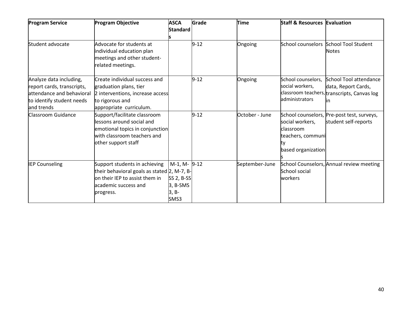| <b>Program Service</b>                                                                                                        | <b>Program Objective</b>                                                                                                                            | <b>ASCA</b><br><b>Standard</b>                           | Grade    | <b>Time</b>    | <b>Staff &amp; Resources Evaluation</b>                                        |                                                                                                    |
|-------------------------------------------------------------------------------------------------------------------------------|-----------------------------------------------------------------------------------------------------------------------------------------------------|----------------------------------------------------------|----------|----------------|--------------------------------------------------------------------------------|----------------------------------------------------------------------------------------------------|
| Student advocate                                                                                                              | Advocate for students at<br>individual education plan<br>meetings and other student-<br>related meetings.                                           |                                                          | $9 - 12$ | Ongoing        |                                                                                | School counselors School Tool Student<br><b>Notes</b>                                              |
| Analyze data including,<br>report cards, transcripts,<br>attendance and behavioral<br>to identify student needs<br>and trends | Create individual success and<br>graduation plans, tier<br>2 interventions, increase access<br>to rigorous and<br>appropriate curriculum.           |                                                          | $9 - 12$ | Ongoing        | School counselors,<br>social workers,<br>administrators                        | School Tool attendance<br>data, Report Cards,<br>classroom teachers, transcripts, Canvas log<br>ın |
| Classroom Guidance                                                                                                            | Support/facilitate classroom<br>lessons around social and<br>emotional topics in conjunction<br>with classroom teachers and<br>other support staff  |                                                          | $9 - 12$ | October - June | social workers,<br>lclassroom<br>teachers, communi<br>ty<br>based organization | School counselors, Pre-post test, surveys,<br>student self-reports                                 |
| <b>IEP Counseling</b>                                                                                                         | Support students in achieving<br>their behavioral goals as stated 2, M-7, B-<br>on their IEP to assist them in<br>academic success and<br>progress. | M-1, M-9-12<br>SS 2, B-SS<br>3, B-SMS<br>$3, B-$<br>SMS3 |          | September-June | School social<br>workers                                                       | School Counselors, Annual review meeting                                                           |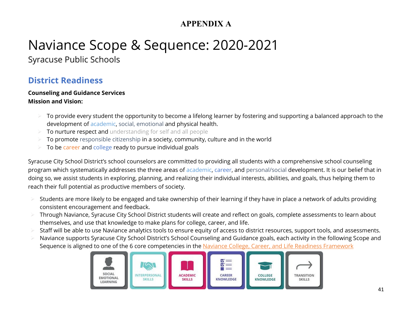# **APPENDIX A**

# Naviance Scope & Sequence: 2020-2021

Syracuse Public Schools

# **District Readiness**

# **Counseling and Guidance Services Mission and Vision:**

- To provide every student the opportunity to become a lifelong learner by fostering and supporting a balanced approach to the development of academic, social, emotional and physical health.
- To nurture respect and understanding for self and all people
- To promote responsible citizenship in a society, community, culture and in the world
- To be career and college ready to pursue individual goals

Syracuse City School District's school counselors are committed to providing all students with a comprehensive school counseling program which systematically addresses the three areas of academic, career, and personal/social development. It is our belief that in doing so, we assist students in exploring, planning, and realizing their individual interests, abilities, and goals, thus helping them to reach their full potential as productive members of society.

- Students are more likely to be engaged and take ownership of their learning if they have in place a network of adults providing consistent encouragement and feedback.
- Through Naviance, Syracuse City School District students will create and reflect on goals, complete assessments to learn about themselves, and use that knowledge to make plans for college, career, and life.
- Staff will be able to use Naviance analytics tools to ensure equity of access to district resources, support tools, and assessments.
- Naviance supports Syracuse City School District's School Counseling and Guidance goals, each activity in the following Scope and Sequence is aligned to one of the 6 core competencies in the [Naviance College, Career, and Life Readiness Framework](https://www.naviance.com/content/cclr-framework)

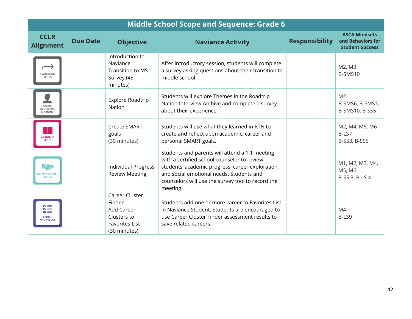| <b>Middle School Scope and Sequence: Grade 6</b>       |                 |                                                                                                |                                                                                                                                                                                                                                                                |                       |                                                                     |  |  |
|--------------------------------------------------------|-----------------|------------------------------------------------------------------------------------------------|----------------------------------------------------------------------------------------------------------------------------------------------------------------------------------------------------------------------------------------------------------------|-----------------------|---------------------------------------------------------------------|--|--|
| <b>CCLR</b><br><b>Alignment</b>                        | <b>Due Date</b> | <b>Objective</b>                                                                               | <b>Naviance Activity</b>                                                                                                                                                                                                                                       | <b>Responsibility</b> | <b>ASCA Mindsets</b><br>and Behaviors for<br><b>Student Success</b> |  |  |
| TRANSITION<br>SKILLS                                   |                 | Introduction to<br>Naviance<br>Transition to MS<br>Survey (45<br>minutes)                      | After introductory session, students will complete<br>a survey asking questions about their transition to<br>middle school.                                                                                                                                    |                       | M2, M3<br>B-SMS10                                                   |  |  |
| SOCIAL<br>MOTIONAL<br>LEARNING                         |                 | Explore Roadtrip<br>Nation                                                                     | Students will explore Themes in the Roadtrip<br>Nation Interview Archive and complete a survey<br>about their experience.                                                                                                                                      |                       | M <sub>2</sub><br>B-SMS6, B-SMS7,<br>B-SMS10, B-SS5                 |  |  |
| <b>ACADEMIC</b><br><b>SKILLS</b>                       |                 | <b>Create SMART</b><br>goals<br>(30 minutes)                                                   | Students will use what they learned in RTN to<br>create and reflect upon academic, career and<br>personal SMART goals.                                                                                                                                         |                       | M2, M4, M5, M6<br>B-LS7<br><b>B-SS3, B-SS5</b>                      |  |  |
| $I\rightarrow V$<br><b>NTERPERSON</b><br><b>SKILLS</b> |                 | <b>Individual Progress</b><br><b>Review Meeting</b>                                            | Students and parents will attend a 1:1 meeting<br>with a certified school counselor to review<br>students' academic progress, career exploration,<br>and social emotional needs. Students and<br>counselors will use the survey tool to record the<br>meeting. |                       | M1, M2, M3, M4,<br>M5, M6<br>B-SS 3, B-LS 4                         |  |  |
| थं≣<br><b>CAREER</b><br><b>KNOWLEDGE</b>               |                 | Career Cluster<br>Finder<br>Add Career<br>Clusters to<br><b>Favorites List</b><br>(30 minutes) | Students add one or more career to Favorites List<br>in Naviance Student. Students are encouraged to<br>use Career Cluster Finder assessment results to<br>save related careers.                                                                               |                       | M4<br>B-LS9                                                         |  |  |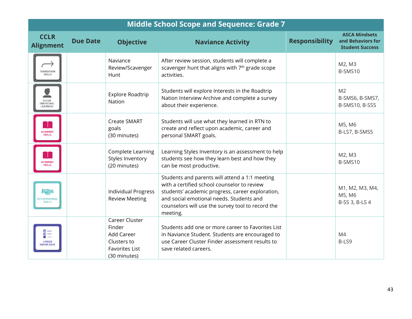| <b>Middle School Scope and Sequence: Grade 7</b>    |                 |                                                                                                |                                                                                                                                                                                                                                                                |                       |                                                                     |  |  |  |
|-----------------------------------------------------|-----------------|------------------------------------------------------------------------------------------------|----------------------------------------------------------------------------------------------------------------------------------------------------------------------------------------------------------------------------------------------------------------|-----------------------|---------------------------------------------------------------------|--|--|--|
| <b>CCLR</b><br><b>Alignment</b>                     | <b>Due Date</b> | <b>Objective</b>                                                                               | <b>Naviance Activity</b>                                                                                                                                                                                                                                       | <b>Responsibility</b> | <b>ASCA Mindsets</b><br>and Behaviors for<br><b>Student Success</b> |  |  |  |
| <b>RANSITION</b><br>SKILLS                          |                 | Naviance<br>Review/Scavenger<br>Hunt                                                           | After review session, students will complete a<br>scavenger hunt that aligns with 7 <sup>th</sup> grade scope<br>activities.                                                                                                                                   |                       | M2, M3<br>B-SMS10                                                   |  |  |  |
| SOCIAL<br>MOTIONAL<br>LEARNING                      |                 | Explore Roadtrip<br>Nation                                                                     | Students will explore Interests in the Roadtrip<br>Nation Interview Archive and complete a survey<br>about their experience.                                                                                                                                   |                       | M <sub>2</sub><br>B-SMS6, B-SMS7,<br>B-SMS10, B-SS5                 |  |  |  |
| <b>ACADEMIC</b><br><b>SKILLS</b>                    |                 | <b>Create SMART</b><br>goals<br>(30 minutes)                                                   | Students will use what they learned in RTN to<br>create and reflect upon academic, career and<br>personal SMART goals.                                                                                                                                         |                       | M5, M6<br>B-LS7, B-SMS5                                             |  |  |  |
| ACADEMIC<br><b>SKILLS</b>                           |                 | Complete Learning<br>Styles Inventory<br>(20 minutes)                                          | Learning Styles Inventory is an assessment to help<br>students see how they learn best and how they<br>can be most productive.                                                                                                                                 |                       | M2, M3<br>B-SMS10                                                   |  |  |  |
| $\sqrt{2}$<br><b>INTERPERSONAL</b><br><b>SKILLS</b> |                 | <b>Individual Progress</b><br><b>Review Meeting</b>                                            | Students and parents will attend a 1:1 meeting<br>with a certified school counselor to review<br>students' academic progress, career exploration,<br>and social emotional needs. Students and<br>counselors will use the survey tool to record the<br>meeting. |                       | M1, M2, M3, M4,<br>M5, M6<br>B-SS 3, B-LS 4                         |  |  |  |
| <u> 사람</u><br><b>CAREER</b><br>KNOWLEDGE            |                 | Career Cluster<br>Finder<br>Add Career<br>Clusters to<br><b>Favorites List</b><br>(30 minutes) | Students add one or more career to Favorites List<br>in Naviance Student. Students are encouraged to<br>use Career Cluster Finder assessment results to<br>save related careers.                                                                               |                       | M4<br>B-LS9                                                         |  |  |  |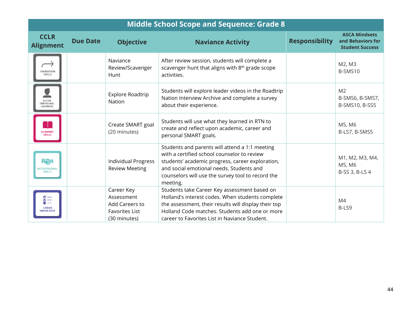|                                                      | <b>Middle School Scope and Sequence: Grade 8</b> |                                                                                     |                                                                                                                                                                                                                                                                |                       |                                                                     |  |  |  |
|------------------------------------------------------|--------------------------------------------------|-------------------------------------------------------------------------------------|----------------------------------------------------------------------------------------------------------------------------------------------------------------------------------------------------------------------------------------------------------------|-----------------------|---------------------------------------------------------------------|--|--|--|
| <b>CCLR</b><br><b>Alignment</b>                      | <b>Due Date</b>                                  | <b>Objective</b>                                                                    | <b>Naviance Activity</b>                                                                                                                                                                                                                                       | <b>Responsibility</b> | <b>ASCA Mindsets</b><br>and Behaviors for<br><b>Student Success</b> |  |  |  |
| TRANSITION<br><b>SKILLS</b>                          |                                                  | Naviance<br>Review/Scavenger<br>Hunt                                                | After review session, students will complete a<br>scavenger hunt that aligns with 8 <sup>th</sup> grade scope<br>activities.                                                                                                                                   |                       | M2, M3<br>B-SMS10                                                   |  |  |  |
| SOCIAL<br>EMOTIONAL<br>LEARNING                      |                                                  | Explore Roadtrip<br>Nation                                                          | Students will explore leader videos in the Roadtrip<br>Nation Interview Archive and complete a survey<br>about their experience.                                                                                                                               |                       | M <sub>2</sub><br>B-SMS6, B-SMS7,<br>B-SMS10, B-SS5                 |  |  |  |
| <b>ACADEMIC</b><br><b>SKILLS</b>                     |                                                  | Create SMART goal<br>(20 minutes)                                                   | Students will use what they learned in RTN to<br>create and reflect upon academic, career and<br>personal SMART goals.                                                                                                                                         |                       | M5, M6<br>B-LS7, B-SMS5                                             |  |  |  |
| $I\mathbb{Z}$<br><b>NTERPERSONA</b><br><b>SKILLS</b> |                                                  | <b>Individual Progress</b><br><b>Review Meeting</b>                                 | Students and parents will attend a 1:1 meeting<br>with a certified school counselor to review<br>students' academic progress, career exploration,<br>and social emotional needs. Students and<br>counselors will use the survey tool to record the<br>meeting. |                       | M1, M2, M3, M4,<br>M5, M6<br>B-SS 3, B-LS 4                         |  |  |  |
| ¥≣<br><b>CAREER</b><br>KNOWLEDGE                     |                                                  | Career Key<br>Assessment<br>Add Careers to<br><b>Favorites List</b><br>(30 minutes) | Students take Career Key assessment based on<br>Holland's interest codes. When students complete<br>the assessment, their results will display their top<br>Holland Code matches. Students add one or more<br>career to Favorites List in Naviance Student.    |                       | M <sub>4</sub><br>B-LS9                                             |  |  |  |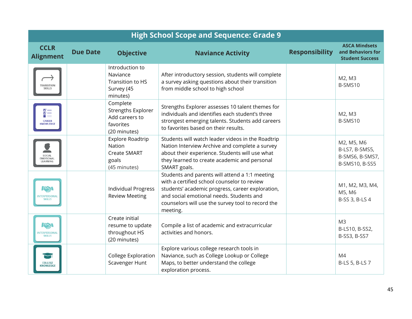| <b>CCLR</b><br><b>Alignment</b>                           | <b>Due Date</b> | <b>Objective</b>                                                                     | <b>Naviance Activity</b>                                                                                                                                                                                                                                       | <b>Responsibility</b> | <b>ASCA Mindsets</b><br>and Behaviors for<br><b>Student Success</b> |
|-----------------------------------------------------------|-----------------|--------------------------------------------------------------------------------------|----------------------------------------------------------------------------------------------------------------------------------------------------------------------------------------------------------------------------------------------------------------|-----------------------|---------------------------------------------------------------------|
| <b>TRANSITION</b><br><b>SKILLS</b>                        |                 | Introduction to<br>Naviance<br>Transition to HS<br>Survey (45<br>minutes)            | After introductory session, students will complete<br>a survey asking questions about their transition<br>from middle school to high school                                                                                                                    |                       | M2, M3<br>B-SMS10                                                   |
| 칇<br><b>CAREER</b><br><b>(NOWLEDGE</b>                    |                 | Complete<br><b>Strengths Explorer</b><br>Add careers to<br>favorites<br>(20 minutes) | Strengths Explorer assesses 10 talent themes for<br>individuals and identifies each student's three<br>strongest emerging talents. Students add careers<br>to favorites based on their results.                                                                |                       | M2, M3<br>B-SMS10                                                   |
| SOCIAL<br>MOTIONAL:<br>EARNING                            |                 | Explore Roadtrip<br>Nation<br><b>Create SMART</b><br>goals<br>(45 minutes)           | Students will watch leader videos in the Roadtrip<br>Nation Interview Archive and complete a survey<br>about their experience. Students will use what<br>they learned to create academic and personal<br>SMART goals.                                          |                       | M2, M5, M6<br>B-LS7, B-SMS5,<br>B-SMS6, B-SMS7,<br>B-SMS10, B-SS5   |
| $I\rightarrow V$<br><b>INTERPERSONAL</b><br><b>SKILLS</b> |                 | <b>Individual Progress</b><br><b>Review Meeting</b>                                  | Students and parents will attend a 1:1 meeting<br>with a certified school counselor to review<br>students' academic progress, career exploration,<br>and social emotional needs. Students and<br>counselors will use the survey tool to record the<br>meeting. |                       | M1, M2, M3, M4,<br>M5, M6<br>B-SS 3, B-LS 4                         |
| $I\rightarrow V$<br><b>INTERPERSONA</b><br><b>SKILLS</b>  |                 | Create initial<br>resume to update<br>throughout HS<br>(20 minutes)                  | Compile a list of academic and extracurricular<br>activities and honors.                                                                                                                                                                                       |                       | M <sub>3</sub><br>B-LS10, B-SS2,<br>B-SS3, B-SS7                    |
| <b>COLLEGE</b><br>KNOWLEDGE                               |                 | College Exploration<br>Scavenger Hunt                                                | Explore various college research tools in<br>Naviance, such as College Lookup or College<br>Maps, to better understand the college<br>exploration process.                                                                                                     |                       | M4<br>B-LS 5, B-LS 7                                                |

# **High School Scope and Sequence: Grade 9**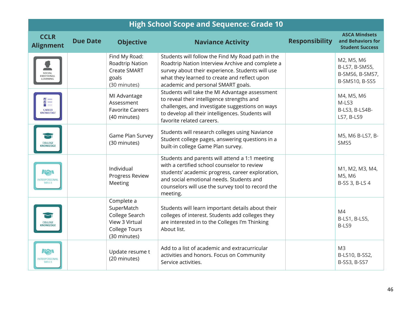| <b>High School Scope and Sequence: Grade 10</b>      |                 |                                                                                                      |                                                                                                                                                                                                                                                                |                       |                                                                     |
|------------------------------------------------------|-----------------|------------------------------------------------------------------------------------------------------|----------------------------------------------------------------------------------------------------------------------------------------------------------------------------------------------------------------------------------------------------------------|-----------------------|---------------------------------------------------------------------|
| <b>CCLR</b><br><b>Alignment</b>                      | <b>Due Date</b> | <b>Objective</b>                                                                                     | <b>Naviance Activity</b>                                                                                                                                                                                                                                       | <b>Responsibility</b> | <b>ASCA Mindsets</b><br>and Behaviors for<br><b>Student Success</b> |
| SOCIAL<br><b>MOTIONA</b>                             |                 | Find My Road:<br>Roadtrip Nation<br><b>Create SMART</b><br>goals<br>(30 minutes)                     | Students will follow the Find My Road path in the<br>Roadtrip Nation Interview Archive and complete a<br>survey about their experience. Students will use<br>what they learned to create and reflect upon<br>academic and personal SMART goals.                |                       | M2, M5, M6<br>B-LS7, B-SMS5,<br>B-SMS6, B-SMS7,<br>B-SMS10, B-SS5   |
| ¥≣<br><b>CAREER</b><br><b>KNOWLEDGE</b>              |                 | MI Advantage<br>Assessment<br><b>Favorite Careers</b><br>(40 minutes)                                | Students will take the MI Advantage assessment<br>to reveal their intelligence strengths and<br>challenges, and investigate suggestions on ways<br>to develop all their intelligences. Students will<br>favorite related careers.                              |                       | M4, M5, M6<br>M-LS3<br>B-LS3, B-LS4B-<br>LS7, B-LS9                 |
| <b>COLLEGE</b><br>NOWLEDGE                           |                 | Game Plan Survey<br>(30 minutes)                                                                     | Students will research colleges using Naviance<br>Student college pages, answering questions in a<br>built-in college Game Plan survey.                                                                                                                        |                       | M5, M6 B-LS7, B-<br>SMS5                                            |
| $I\infty$<br><b>INTERPERSONAL</b><br><b>SKILLS</b>   |                 | Individual<br>Progress Review<br>Meeting                                                             | Students and parents will attend a 1:1 meeting<br>with a certified school counselor to review<br>students' academic progress, career exploration,<br>and social emotional needs. Students and<br>counselors will use the survey tool to record the<br>meeting. |                       | M1, M2, M3, M4,<br>M5, M6<br>B-SS 3, B-LS 4                         |
| <b>COLLEGE</b><br>NOWLEDGE                           |                 | Complete a<br>SuperMatch<br>College Search<br>View 3 Virtual<br><b>College Tours</b><br>(30 minutes) | Students will learn important details about their<br>colleges of interest. Students add colleges they<br>are interested in to the Colleges I'm Thinking<br>About list.                                                                                         |                       | M4<br>B-LS1, B-LS5,<br>B-LS9                                        |
| $15\sqrt{2}$<br><b>INTERPERSONA</b><br><b>SKILLS</b> |                 | Update resume t<br>(20 minutes)                                                                      | Add to a list of academic and extracurricular<br>activities and honors. Focus on Community<br>Service activities.                                                                                                                                              |                       | M <sub>3</sub><br>B-LS10, B-SS2,<br>B-SS3, B-SS7                    |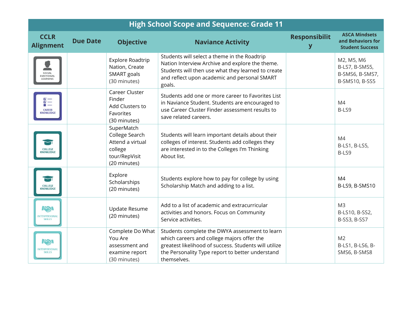| <b>High School Scope and Sequence: Grade 11</b>     |                 |                                                                                              |                                                                                                                                                                                                                          |                           |                                                                     |
|-----------------------------------------------------|-----------------|----------------------------------------------------------------------------------------------|--------------------------------------------------------------------------------------------------------------------------------------------------------------------------------------------------------------------------|---------------------------|---------------------------------------------------------------------|
| <b>CCLR</b><br><b>Alignment</b>                     | <b>Due Date</b> | <b>Objective</b>                                                                             | <b>Naviance Activity</b>                                                                                                                                                                                                 | <b>Responsibilit</b><br>y | <b>ASCA Mindsets</b><br>and Behaviors for<br><b>Student Success</b> |
| SOCIAL<br><b>MOTIONAL</b><br>LEARNING               |                 | Explore Roadtrip<br>Nation, Create<br>SMART goals<br>(30 minutes)                            | Students will select a theme in the Roadtrip<br>Nation Interview Archive and explore the theme.<br>Students will then use what they learned to create<br>and reflect upon academic and personal SMART<br>goals.          |                           | M2, M5, M6<br>B-LS7, B-SMS5,<br>B-SMS6, B-SMS7,<br>B-SMS10, B-SS5   |
| ¥≣<br><b>CAREER</b><br><b>NOWLEDGE</b>              |                 | Career Cluster<br>Finder<br>Add Clusters to<br>Favorites<br>(30 minutes)                     | Students add one or more career to Favorites List<br>in Naviance Student. Students are encouraged to<br>use Career Cluster Finder assessment results to<br>save related careers.                                         |                           | M4<br>B-LS9                                                         |
| <b>COLLEGE</b><br>NOWLEDGE                          |                 | SuperMatch<br>College Search<br>Attend a virtual<br>college<br>tour/RepVisit<br>(20 minutes) | Students will learn important details about their<br>colleges of interest. Students add colleges they<br>are interested in to the Colleges I'm Thinking<br>About list.                                                   |                           | M4<br>B-LS1, B-LS5,<br>B-LS9                                        |
| <b>COLLEGE</b><br><b>NOWLEDGE</b>                   |                 | Explore<br>Scholarships<br>(20 minutes)                                                      | Students explore how to pay for college by using<br>Scholarship Match and adding to a list.                                                                                                                              |                           | M <sub>4</sub><br>B-LS9, B-SMS10                                    |
| $T_{\infty}$<br><b>TERPERSONAL</b><br><b>SKILLS</b> |                 | <b>Update Resume</b><br>(20 minutes)                                                         | Add to a list of academic and extracurricular<br>activities and honors. Focus on Community<br>Service activities.                                                                                                        |                           | M <sub>3</sub><br>B-LS10, B-SS2,<br>B-SS3, B-SS7                    |
| $I\rightarrow V$<br>NTERPERSONAL<br><b>SKILLS</b>   |                 | Complete Do What<br>You Are<br>assessment and<br>examine report<br>(30 minutes)              | Students complete the DWYA assessment to learn<br>which careers and college majors offer the<br>greatest likelihood of success. Students will utilize<br>the Personality Type report to better understand<br>themselves. |                           | M <sub>2</sub><br>B-LS1, B-LS6, B-<br>SMS6, B-SMS8                  |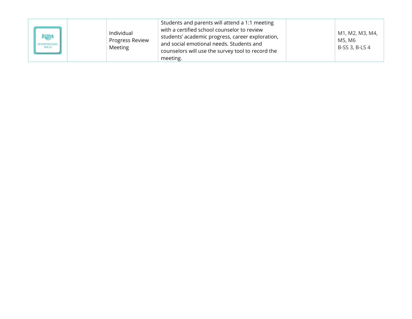| $I\rightarrow V$<br>NTERPERSONAL | Individual<br>Progress Review<br>Meeting | Students and parents will attend a 1:1 meeting<br>with a certified school counselor to review<br>students' academic progress, career exploration,<br>and social emotional needs. Students and<br>counselors will use the survey tool to record the<br>meeting. |  | M1, M2, M3, M4,<br>M5, M6<br>B-SS 3, B-LS 4 |
|----------------------------------|------------------------------------------|----------------------------------------------------------------------------------------------------------------------------------------------------------------------------------------------------------------------------------------------------------------|--|---------------------------------------------|
|----------------------------------|------------------------------------------|----------------------------------------------------------------------------------------------------------------------------------------------------------------------------------------------------------------------------------------------------------------|--|---------------------------------------------|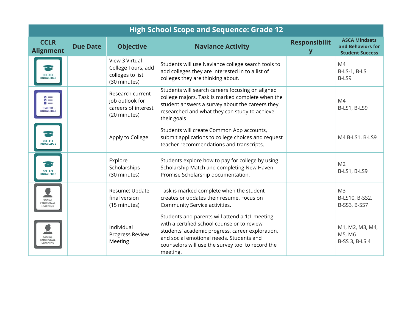| <b>High School Scope and Sequence: Grade 12</b> |                 |                                                                            |                                                                                                                                                                                                                                                                |                      |                                                                     |
|-------------------------------------------------|-----------------|----------------------------------------------------------------------------|----------------------------------------------------------------------------------------------------------------------------------------------------------------------------------------------------------------------------------------------------------------|----------------------|---------------------------------------------------------------------|
| <b>CCLR</b><br><b>Alignment</b>                 | <b>Due Date</b> | <b>Objective</b>                                                           | <b>Naviance Activity</b>                                                                                                                                                                                                                                       | <b>Responsibilit</b> | <b>ASCA Mindsets</b><br>and Behaviors for<br><b>Student Success</b> |
| <b>COLLEGE</b><br><b>INOWLEDGE</b>              |                 | View 3 Virtual<br>College Tours, add<br>colleges to list<br>(30 minutes)   | Students will use Naviance college search tools to<br>add colleges they are interested in to a list of<br>colleges they are thinking about.                                                                                                                    |                      | M4<br>B-LS-1, B-LS<br>B-LS9                                         |
| ă≣<br>CAREER<br>KNOWLEDGE                       |                 | Research current<br>job outlook for<br>careers of interest<br>(20 minutes) | Students will search careers focusing on aligned<br>college majors. Task is marked complete when the<br>student answers a survey about the careers they<br>researched and what they can study to achieve<br>their goals                                        |                      | M <sub>4</sub><br>B-LS1, B-LS9                                      |
| COLLEGE<br><b>NOWLEDGE</b>                      |                 | Apply to College                                                           | Students will create Common App accounts,<br>submit applications to college choices and request<br>teacher recommendations and transcripts.                                                                                                                    |                      | M4 B-LS1, B-LS9                                                     |
| COLLEGE<br><b>INOWLEDGE</b>                     |                 | Explore<br>Scholarships<br>(30 minutes)                                    | Students explore how to pay for college by using<br>Scholarship Match and completing New Haven<br>Promise Scholarship documentation.                                                                                                                           |                      | M <sub>2</sub><br>B-LS1, B-LS9                                      |
| SOCIAL<br><b>MOTIONAL</b>                       |                 | Resume: Update<br>final version<br>(15 minutes)                            | Task is marked complete when the student<br>creates or updates their resume. Focus on<br>Community Service activities.                                                                                                                                         |                      | M <sub>3</sub><br>B-LS10, B-SS2,<br>B-SS3, B-SS7                    |
| <b>EMOTIONAL</b><br>LEARNING                    |                 | Individual<br>Progress Review<br>Meeting                                   | Students and parents will attend a 1:1 meeting<br>with a certified school counselor to review<br>students' academic progress, career exploration,<br>and social emotional needs. Students and<br>counselors will use the survey tool to record the<br>meeting. |                      | M1, M2, M3, M4,<br>M5, M6<br>B-SS 3, B-LS 4                         |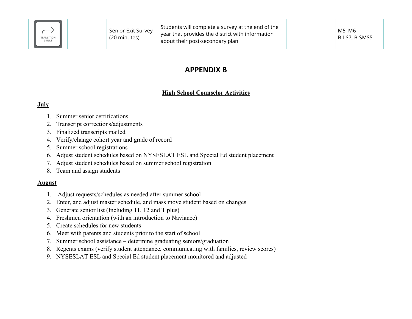| <b>TRANSITION</b><br>SKILLS | Senior Exit Survey<br>(20 minutes) | Students will complete a survey at the end of the<br>year that provides the district with information<br>about their post-secondary plan |  | M5, M6<br>B-LS7, B-SMS5 |
|-----------------------------|------------------------------------|------------------------------------------------------------------------------------------------------------------------------------------|--|-------------------------|
|-----------------------------|------------------------------------|------------------------------------------------------------------------------------------------------------------------------------------|--|-------------------------|

# **APPENDIX B**

# **High School Counselor Activities**

# **July**

- 1. Summer senior certifications
- 2. Transcript corrections/adjustments
- 3. Finalized transcripts mailed
- 4. Verify/change cohort year and grade of record
- 5. Summer school registrations
- 6. Adjust student schedules based on NYSESLAT ESL and Special Ed student placement
- 7. Adjust student schedules based on summer school registration
- 8. Team and assign students

# **August**

- 1. Adjust requests/schedules as needed after summer school
- 2. Enter, and adjust master schedule, and mass move student based on changes
- 3. Generate senior list (Including 11, 12 and T plus)
- 4. Freshmen orientation (with an introduction to Naviance)
- 5. Create schedules for new students
- 6. Meet with parents and students prior to the start of school
- 7. Summer school assistance determine graduating seniors/graduation
- 8. Regents exams (verify student attendance, communicating with families, review scores)
- 9. NYSESLAT ESL and Special Ed student placement monitored and adjusted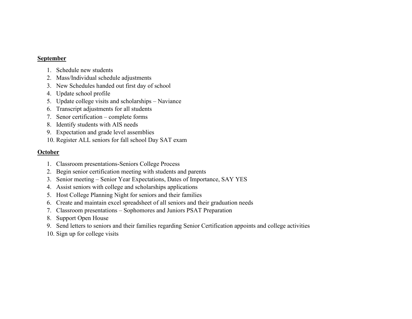## **September**

- 1. Schedule new students
- 2. Mass/Individual schedule adjustments
- 3. New Schedules handed out first day of school
- 4. Update school profile
- 5. Update college visits and scholarships Naviance
- 6. Transcript adjustments for all students
- 7. Senor certification complete forms
- 8. Identify students with AIS needs
- 9. Expectation and grade level assemblies
- 10. Register ALL seniors for fall school Day SAT exam

# **October**

- 1. Classroom presentations-Seniors College Process
- 2. Begin senior certification meeting with students and parents
- 3. Senior meeting Senior Year Expectations, Dates of Importance, SAY YES
- 4. Assist seniors with college and scholarships applications
- 5. Host College Planning Night for seniors and their families
- 6. Create and maintain excel spreadsheet of all seniors and their graduation needs
- 7. Classroom presentations Sophomores and Juniors PSAT Preparation
- 8. Support Open House
- 9. Send letters to seniors and their families regarding Senior Certification appoints and college activities
- 10. Sign up for college visits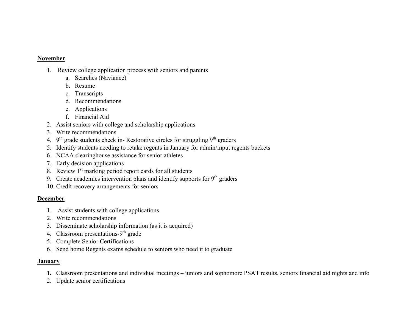## **November**

- 1. Review college application process with seniors and parents
	- a. Searches (Naviance)
	- b. Resume
	- c. Transcripts
	- d. Recommendations
	- e. Applications
	- f. Financial Aid
- 2. Assist seniors with college and scholarship applications
- 3. Write recommendations
- 4.  $9<sup>th</sup>$  grade students check in-Restorative circles for struggling  $9<sup>th</sup>$  graders
- 5. Identify students needing to retake regents in January for admin/input regents buckets
- 6. NCAA clearinghouse assistance for senior athletes
- 7. Early decision applications
- 8. Review  $1<sup>st</sup>$  marking period report cards for all students
- 9. Create academics intervention plans and identify supports for  $9<sup>th</sup>$  graders
- 10. Credit recovery arrangements for seniors

# **December**

- 1. Assist students with college applications
- 2. Write recommendations
- 3. Disseminate scholarship information (as it is acquired)
- 4. Classroom presentations- $9<sup>th</sup>$  grade
- 5. Complete Senior Certifications
- 6. Send home Regents exams schedule to seniors who need it to graduate

# **January**

- **1.** Classroom presentations and individual meetings juniors and sophomore PSAT results, seniors financial aid nights and info
- 2. Update senior certifications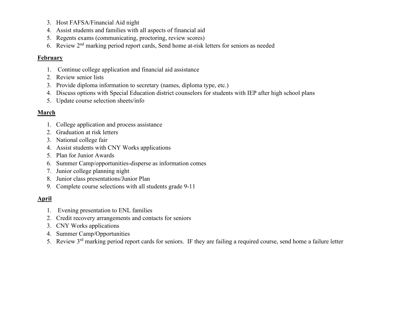- 3. Host FAFSA/Financial Aid night
- 4. Assist students and families with all aspects of financial aid
- 5. Regents exams (communicating, proctoring, review scores)
- 6. Review 2nd marking period report cards, Send home at-risk letters for seniors as needed

# **February**

- 1. Continue college application and financial aid assistance
- 2. Review senior lists
- 3. Provide diploma information to secretary (names, diploma type, etc.)
- 4. Discuss options with Special Education district counselors for students with IEP after high school plans
- 5. Update course selection sheets/info

# **March**

- 1. College application and process assistance
- 2. Graduation at risk letters
- 3. National college fair
- 4. Assist students with CNY Works applications
- 5. Plan for Junior Awards
- 6. Summer Camp/opportunities-disperse as information comes
- 7. Junior college planning night
- 8. Junior class presentations/Junior Plan
- 9. Complete course selections with all students grade 9-11

# **April**

- 1. Evening presentation to ENL families
- 2. Credit recovery arrangements and contacts for seniors
- 3. CNY Works applications
- 4. Summer Camp/Opportunities
- 5. Review 3rd marking period report cards for seniors. IF they are failing a required course, send home a failure letter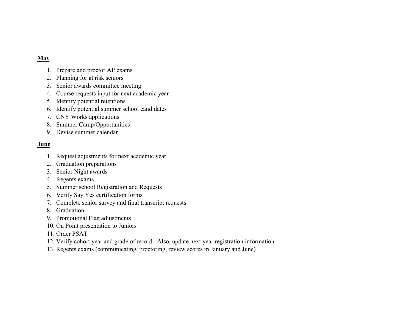# **May**

- 1. Prepare and proctor AP exams
- 2. Planning for at risk seniors
- 3. Senior awards committee meeting
- 4. Course requests input for next academic year
- 5. Identify potential retentions
- 6. Identify potential summer school candidates
- 7. CNY Works applications
- 8. Summer Camp/Opportunities
- 9. Devise summer calendar

# **June**

- 1. Request adjustments for next academic year
- 2. Graduation preparations
- 3. Senior Night awards
- 4. Regents exams
- 5. Summer school Registration and Requests
- 6. Verify Say Yes certification forms
- 7. Complete senior survey and final transcript requests
- 8. Graduation
- 9. Promotional Flag adjustments
- 10. On Point presentation to Juniors
- 11. Order PSAT
- 12. Verify cohort year and grade of record. Also, update next year registration information
- 13. Regents exams (communicating, proctoring, review scores in January and June)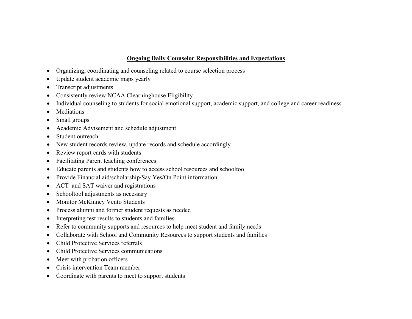# **Ongoing Daily Counselor Responsibilities and Expectations**

- Organizing, coordinating and counseling related to course selection process
- Update student academic maps yearly
- Transcript adjustments
- Consistently review NCAA Clearninghouse Eligibility
- Individual counseling to students for social emotional support, academic support, and college and career readiness
- Mediations
- Small groups
- Academic Advisement and schedule adjustment
- Student outreach
- New student records review, update records and schedule accordingly
- Review report cards with students
- Facilitating Parent teaching conferences
- Educate parents and students how to access school resources and schooltool
- Provide Financial aid/scholarship/Say Yes/On Point information
- ACT and SAT waiver and registrations
- Schooltool adjustments as necessary
- Monitor McKinney Vento Students
- Process alumni and former student requests as needed
- Interpreting test results to students and families
- Refer to community supports and resources to help meet student and family needs
- Collaborate with School and Community Resources to support students and families
- Child Protective Services referrals
- Child Protective Services communications
- Meet with probation officers
- Crisis intervention Team member
- Coordinate with parents to meet to support students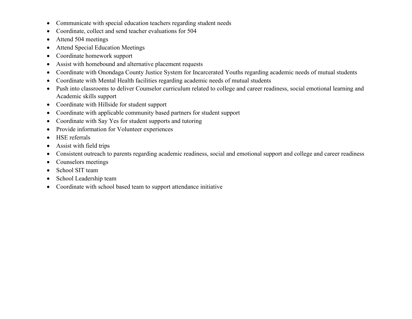- Communicate with special education teachers regarding student needs
- Coordinate, collect and send teacher evaluations for 504
- Attend 504 meetings
- Attend Special Education Meetings
- Coordinate homework support
- Assist with homebound and alternative placement requests
- Coordinate with Onondaga County Justice System for Incarcerated Youths regarding academic needs of mutual students
- Coordinate with Mental Health facilities regarding academic needs of mutual students
- Push into classrooms to deliver Counselor curriculum related to college and career readiness, social emotional learning and Academic skills support
- Coordinate with Hillside for student support
- Coordinate with applicable community based partners for student support
- Coordinate with Say Yes for student supports and tutoring
- Provide information for Volunteer experiences
- HSE referrals
- Assist with field trips
- Consistent outreach to parents regarding academic readiness, social and emotional support and college and career readiness
- Counselors meetings
- School SIT team
- School Leadership team
- Coordinate with school based team to support attendance initiative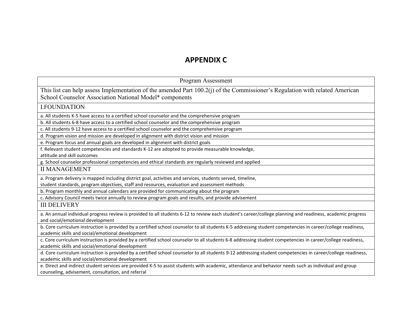# **APPENDIX C**

| Program Assessment                                                                                                                                                                             |
|------------------------------------------------------------------------------------------------------------------------------------------------------------------------------------------------|
| This list can help assess Implementation of the amended Part 100.2(j) of the Commissioner's Regulation with related American<br>School Counselor Association National Model* components        |
| <b>I.FOUNDATION</b>                                                                                                                                                                            |
| a. All students K-5 have access to a certified school counselor and the comprehensive program                                                                                                  |
| b. All students 6-8 have access to a certified school counselor and the comprehensive program                                                                                                  |
| c. All students 9-12 have access to a certified school counselor and the comprehensive program                                                                                                 |
| d. Program vision and mission are developed in alignment with district vision and mission                                                                                                      |
| e. Program focus and annual goals are developed in alignment with district goals                                                                                                               |
| f. Relevant student competencies and standards K-12 are adopted to provide measurable knowledge,                                                                                               |
| attitude and skill outcomes                                                                                                                                                                    |
| g. School counselor professional competencies and ethical standards are regularly reviewed and applied                                                                                         |
| <b>II MANAGEMENT</b>                                                                                                                                                                           |
| a. Program delivery is mapped including district goal, activities and services, students served, timeline,                                                                                     |
| student standards, program objectives, staff and resources, evaluation and assessment methods                                                                                                  |
| b. Program monthly and annual calendars are provided for communicating about the program                                                                                                       |
| c. Advisory Council meets twice annually to review program goals and results, and provide advisement                                                                                           |
| <b>III DELIVERY</b>                                                                                                                                                                            |
| a. An annual individual progress review is provided to all students 6-12 to review each student's career/college planning and readiness, academic progress<br>and social/emotional development |
| b. Core curriculum instruction is provided by a certified school counselor to all students K-5 addressing student competencies in career/college readiness,                                    |
| academic skills and social/emotional development                                                                                                                                               |
| c. Core curriculum instruction is provided by a certified school counselor to all students 6-8 addressing student competencies in career/college readiness,                                    |
| academic skills and social/emotional development                                                                                                                                               |
| d. Core curriculum instruction is provided by a certified school counselor to all students 9-12 addressing student competencies in career/college readiness,                                   |
| academic skills and social/emotional development                                                                                                                                               |
| e. Direct and indirect student services are provided K-5 to assist students with academic, attendance and behavior needs such as individual and group                                          |
| counseling, advisement, consultation, and referral                                                                                                                                             |